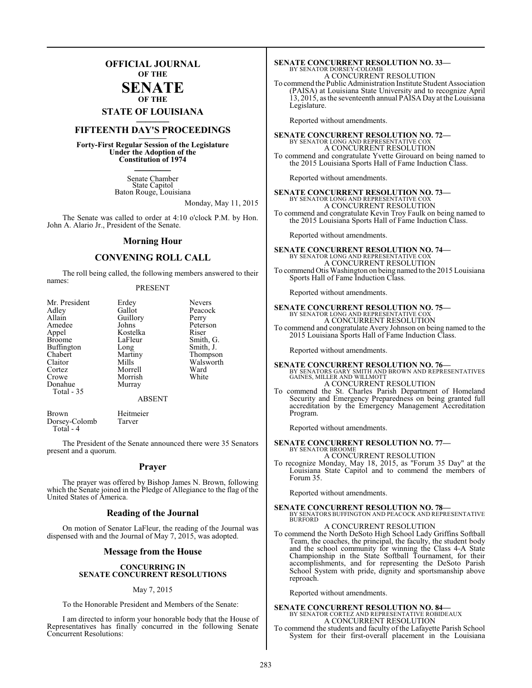### **OFFICIAL JOURNAL OF THE**

#### **SENATE OF THE**

# **STATE OF LOUISIANA \_\_\_\_\_\_\_**

### **FIFTEENTH DAY'S PROCEEDINGS \_\_\_\_\_\_\_**

**Forty-First Regular Session of the Legislature Under the Adoption of the Constitution of 1974 \_\_\_\_\_\_\_**

> Senate Chamber State Capitol Baton Rouge, Louisiana

> > Monday, May 11, 2015

The Senate was called to order at 4:10 o'clock P.M. by Hon. John A. Alario Jr., President of the Senate.

#### **Morning Hour**

### **CONVENING ROLL CALL**

The roll being called, the following members answered to their names:

#### PRESENT

| Mr. President     | Erdey    | <b>Nevers</b> |
|-------------------|----------|---------------|
| Adley             | Gallot   | Peacock       |
| Allain            | Guillory | Perry         |
| Amedee            | Johns    | Peterson      |
| Appel             | Kostelka | Riser         |
| <b>Broome</b>     | LaFleur  | Smith, G.     |
| <b>Buffington</b> | Long     | Smith, J.     |
| Chabert           | Martiny  | Thompson      |
| Claitor           | Mills    | Walsworth     |
| Cortez            | Morrell  | Ward          |
| Crowe             | Morrish  | White         |
| Donahue           | Murray   |               |
| Total - 35        |          |               |
|                   | ABSENT   |               |

Brown Heitmeier<br>Dorsey-Colomb Tarver Dorsey-Colomb Total - 4

The President of the Senate announced there were 35 Senators present and a quorum.

#### **Prayer**

The prayer was offered by Bishop James N. Brown, following which the Senate joined in the Pledge of Allegiance to the flag of the United States of America.

#### **Reading of the Journal**

On motion of Senator LaFleur, the reading of the Journal was dispensed with and the Journal of May 7, 2015, was adopted.

#### **Message from the House**

#### **CONCURRING IN SENATE CONCURRENT RESOLUTIONS**

#### May 7, 2015

To the Honorable President and Members of the Senate:

I am directed to inform your honorable body that the House of Representatives has finally concurred in the following Senate Concurrent Resolutions:

### **SENATE CONCURRENT RESOLUTION NO. 33—** BY SENATOR DORSEY-COLOMB A CONCURRENT RESOLUTION

To commend the Public Administration Institute Student Association (PAISA) at Louisiana State University and to recognize April 13, 2015, as the seventeenth annual PAISA Day at the Louisiana Legislature.

Reported without amendments.

**SENATE CONCURRENT RESOLUTION NO. 72—** BY SENATOR LONG AND REPRESENTATIVE COX A CONCURRENT RESOLUTION To commend and congratulate Yvette Girouard on being named to the 2015 Louisiana Sports Hall of Fame Induction Class.

Reported without amendments.

#### **SENATE CONCURRENT RESOLUTION NO. 73—** BY SENATOR LONG AND REPRESENTATIVE COX A CONCURRENT RESOLUTION To commend and congratulate Kevin Troy Faulk on being named to

the 2015 Louisiana Sports Hall of Fame Induction Class.

Reported without amendments.

#### **SENATE CONCURRENT RESOLUTION NO. 74—** BY SENATOR LONG AND REPRESENTATIVE COX A CONCURRENT RESOLUTION To commend Otis Washington on being named to the 2015 Louisiana Sports Hall of Fame Induction Class.

Reported without amendments.

# **SENATE CONCURRENT RESOLUTION NO. 75—** BY SENATOR LONG AND REPRESENTATIVE COX

A CONCURRENT RESOLUTION To commend and congratulate Avery Johnson on being named to the 2015 Louisiana Sports Hall of Fame Induction Class.

Reported without amendments.

### **SENATE CONCURRENT RESOLUTION NO. 76—** BY SENATORS GARY SMITH AND BROWN AND REPRESENTATIVES GAINES, MILLER AND WILLMOTT

A CONCURRENT RESOLUTION To commend the St. Charles Parish Department of Homeland Security and Emergency Preparedness on being granted full accreditation by the Emergency Management Accreditation Program.

Reported without amendments.

**SENATE CONCURRENT RESOLUTION NO. 77—** BY SENATOR BROOME

A CONCURRENT RESOLUTION

To recognize Monday, May 18, 2015, as "Forum 35 Day" at the Louisiana State Capitol and to commend the members of Forum 35.

Reported without amendments.

**SENATE CONCURRENT RESOLUTION NO. 78—** BY SENATORS BUFFINGTON AND PEACOCK AND REPRESENTATIVE **BURFORD** 

A CONCURRENT RESOLUTION

To commend the North DeSoto High School Lady Griffins Softball Team, the coaches, the principal, the faculty, the student body and the school community for winning the Class 4-A State Championship in the State Softball Tournament, for their accomplishments, and for representing the DeSoto Parish School System with pride, dignity and sportsmanship above reproach.

Reported without amendments.

**SENATE CONCURRENT RESOLUTION NO. 84—** BY SENATOR CORTEZ AND REPRESENTATIVE ROBIDEAUX A CONCURRENT RESOLUTION

To commend the students and faculty of the Lafayette Parish School System for their first-overall placement in the Louisiana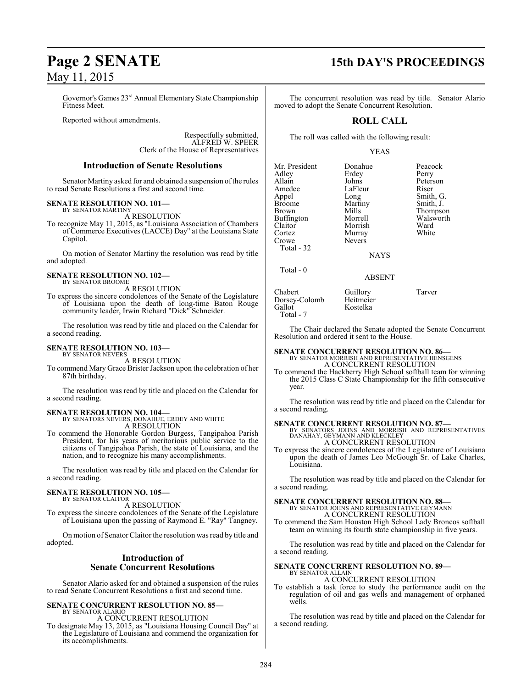Governor's Games 23 rd Annual Elementary State Championship Fitness Meet.

Reported without amendments.

Respectfully submitted, ALFRED W. SPEER Clerk of the House of Representatives

#### **Introduction of Senate Resolutions**

Senator Martiny asked for and obtained a suspension of the rules to read Senate Resolutions a first and second time.

#### **SENATE RESOLUTION NO. 101—**

BY SENATOR MARTINY A RESOLUTION

To recognize May 11, 2015, as "Louisiana Association of Chambers of Commerce Executives (LACCE) Day" at the Louisiana State Capitol.

On motion of Senator Martiny the resolution was read by title and adopted.

#### **SENATE RESOLUTION NO. 102—** BY SENATOR BROOME

A RESOLUTION

To express the sincere condolences of the Senate of the Legislature of Louisiana upon the death of long-time Baton Rouge community leader, Irwin Richard "Dick" Schneider.

The resolution was read by title and placed on the Calendar for a second reading.

#### **SENATE RESOLUTION NO. 103—**

BY SENATOR NEVERS A RESOLUTION

To commend Mary Grace Brister Jackson upon the celebration of her 87th birthday.

The resolution was read by title and placed on the Calendar for a second reading.

**SENATE RESOLUTION NO. 104—** BY SENATORS NEVERS, DONAHUE, ERDEY AND WHITE A RESOLUTION

To commend the Honorable Gordon Burgess, Tangipahoa Parish President, for his years of meritorious public service to the citizens of Tangipahoa Parish, the state of Louisiana, and the nation, and to recognize his many accomplishments.

The resolution was read by title and placed on the Calendar for a second reading.

#### **SENATE RESOLUTION NO. 105—** BY SENATOR CLAITOR

A RESOLUTION

To express the sincere condolences of the Senate of the Legislature of Louisiana upon the passing of Raymond E. "Ray" Tangney.

On motion of SenatorClaitor the resolution was read by title and adopted.

### **Introduction of Senate Concurrent Resolutions**

Senator Alario asked for and obtained a suspension of the rules to read Senate Concurrent Resolutions a first and second time.

#### **SENATE CONCURRENT RESOLUTION NO. 85—** BY SENATOR ALARIO A CONCURRENT RESOLUTION

To designate May 13, 2015, as "Louisiana Housing Council Day" at the Legislature of Louisiana and commend the organization for its accomplishments.

## **Page 2 SENATE 15th DAY'S PROCEEDINGS**

The concurrent resolution was read by title. Senator Alario moved to adopt the Senate Concurrent Resolution.

### **ROLL CALL**

The roll was called with the following result:

#### YEAS

| Mr. President     | Donahue       | Peacock   |
|-------------------|---------------|-----------|
| Adley             | Erdey         | Perry     |
| Allain            | Johns         | Peterson  |
| Amedee            | LaFleur       | Riser     |
| Appel             | Long          | Smith, G. |
| <b>Broome</b>     | Martiny       | Smith, J. |
| <b>Brown</b>      | Mills         | Thompson  |
| <b>Buffington</b> | Morrell       | Walsworth |
| Claitor           | Morrish       | Ward      |
| Cortez            | Murray        | White     |
| Crowe             | <b>Nevers</b> |           |
| Total - 32        |               |           |
|                   | NAVS          |           |

NAYS

#### ABSENT

Chabert Guillory Tarver<br>Dorsey-Colomb Heitmeier Dorsey-Colomb<br>Gallot Total - 7

Total - 0

The Chair declared the Senate adopted the Senate Concurrent Resolution and ordered it sent to the House.

### **SENATE CONCURRENT RESOLUTION NO. 86—** BY SENATOR MORRISH AND REPRESENTATIVE HENSGENS A CONCURRENT RESOLUTION

Kostelka

To commend the Hackberry High School softball team for winning the 2015 Class C State Championship for the fifth consecutive year.

The resolution was read by title and placed on the Calendar for a second reading.

#### **SENATE CONCURRENT RESOLUTION NO. 87—**

BY SENATORS JOHNS AND MORRISH AND REPRESENTATIVES DANAHAY, GEYMANN AND KLECKLEY A CONCURRENT RESOLUTION

To express the sincere condolences of the Legislature of Louisiana upon the death of James Leo McGough Sr. of Lake Charles, Louisiana.

The resolution was read by title and placed on the Calendar for a second reading.

**SENATE CONCURRENT RESOLUTION NO. 88—** BY SENATOR JOHNS AND REPRESENTATIVE GEYMANN A CONCURRENT RESOLUTION

To commend the Sam Houston High School Lady Broncos softball team on winning its fourth state championship in five years.

The resolution was read by title and placed on the Calendar for a second reading.

#### **SENATE CONCURRENT RESOLUTION NO. 89—** BY SENATOR ALLAIN

A CONCURRENT RESOLUTION

To establish a task force to study the performance audit on the regulation of oil and gas wells and management of orphaned wells.

The resolution was read by title and placed on the Calendar for a second reading.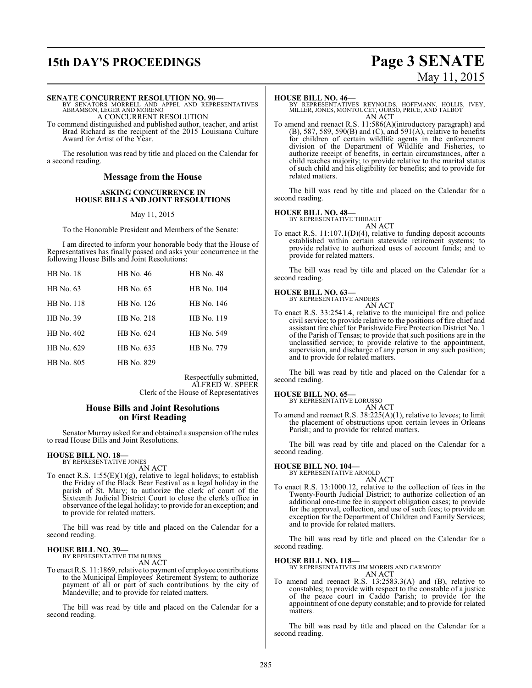# **15th DAY'S PROCEEDINGS Page 3 SENATE**

# May 11, 2015

#### **SENATE CONCURRENT RESOLUTION NO. 90—**

BY SENATORS MORRELL AND APPEL AND REPRESENTATIVES ABRAMSON, LEGER AND MORENO A CONCURRENT RESOLUTION

To commend distinguished and published author, teacher, and artist Brad Richard as the recipient of the 2015 Louisiana Culture Award for Artist of the Year.

The resolution was read by title and placed on the Calendar for a second reading.

#### **Message from the House**

#### **ASKING CONCURRENCE IN HOUSE BILLS AND JOINT RESOLUTIONS**

May 11, 2015

To the Honorable President and Members of the Senate:

I am directed to inform your honorable body that the House of Representatives has finally passed and asks your concurrence in the following House Bills and Joint Resolutions:

| <b>HB</b> No. 18 | HB No. 46  | <b>HB</b> No. 48 |
|------------------|------------|------------------|
| HB No. 63        | HB No. 65  | HB No. 104       |
| HB No. 118       | HB No. 126 | HB No. 146       |
| HB No. 39        | HB No. 218 | HB No. 119       |
| HB No. 402       | HB No. 624 | HB No. 549       |
| HB No. 629       | HB No. 635 | HB No. 779       |
| HB No. 805       | HB No. 829 |                  |

Respectfully submitted, ALFRED W. SPEER Clerk of the House of Representatives

#### **House Bills and Joint Resolutions on First Reading**

Senator Murray asked for and obtained a suspension of the rules to read House Bills and Joint Resolutions.

### **HOUSE BILL NO. 18—** BY REPRESENTATIVE JONES

AN ACT

To enact R.S.  $1:55(E)(1)(g)$ , relative to legal holidays; to establish the Friday of the Black Bear Festival as a legal holiday in the parish of St. Mary; to authorize the clerk of court of the Sixteenth Judicial District Court to close the clerk's office in observance ofthe legal holiday; to provide for an exception; and to provide for related matters.

The bill was read by title and placed on the Calendar for a second reading.

**HOUSE BILL NO. 39—** BY REPRESENTATIVE TIM BURNS

AN ACT

To enact R.S. 11:1869, relative to payment of employee contributions to the Municipal Employees' Retirement System; to authorize payment of all or part of such contributions by the city of Mandeville; and to provide for related matters.

The bill was read by title and placed on the Calendar for a second reading.

#### **HOUSE BILL NO. 46—**

BY REPRESENTATIVES REYNOLDS, HOFFMANN, HOLLIS, IVEY, MILLER, JONES, MONTOUCET, OURSO, PRICE, AND TALBOT AN ACT

To amend and reenact R.S. 11:586(A)(introductory paragraph) and (B), 587, 589, 590(B) and (C), and 591(A), relative to benefits for children of certain wildlife agents in the enforcement division of the Department of Wildlife and Fisheries, to authorize receipt of benefits, in certain circumstances, after a child reaches majority; to provide relative to the marital status of such child and his eligibility for benefits; and to provide for related matters.

The bill was read by title and placed on the Calendar for a second reading.

#### **HOUSE BILL NO. 48—**

BY REPRESENTATIVE THIBAUT

AN ACT To enact R.S. 11:107.1(D)(4), relative to funding deposit accounts established within certain statewide retirement systems; to provide relative to authorized uses of account funds; and to provide for related matters.

The bill was read by title and placed on the Calendar for a second reading.

#### **HOUSE BILL NO. 63—**

BY REPRESENTATIVE ANDERS

AN ACT To enact R.S. 33:2541.4, relative to the municipal fire and police civil service; to provide relative to the positions of fire chief and assistant fire chief for Parishwide Fire Protection District No. 1 of the Parish of Tensas; to provide that such positions are in the unclassified service; to provide relative to the appointment, supervision, and discharge of any person in any such position; and to provide for related matters.

The bill was read by title and placed on the Calendar for a second reading.

#### **HOUSE BILL NO. 65—**

BY REPRESENTATIVE LORUSSO AN ACT

To amend and reenact R.S. 38:225(A)(1), relative to levees; to limit the placement of obstructions upon certain levees in Orleans Parish; and to provide for related matters.

The bill was read by title and placed on the Calendar for a second reading.

### **HOUSE BILL NO. 104—** BY REPRESENTATIVE ARNOLD

AN ACT

To enact R.S. 13:1000.12, relative to the collection of fees in the Twenty-Fourth Judicial District; to authorize collection of an additional one-time fee in support obligation cases; to provide for the approval, collection, and use of such fees; to provide an exception for the Department of Children and Family Services; and to provide for related matters.

The bill was read by title and placed on the Calendar for a second reading.

#### **HOUSE BILL NO. 118—**

BY REPRESENTATIVES JIM MORRIS AND CARMODY AN ACT

To amend and reenact R.S. 13:2583.3(A) and (B), relative to constables; to provide with respect to the constable of a justice of the peace court in Caddo Parish; to provide for the appointment of one deputy constable; and to provide for related matters.

The bill was read by title and placed on the Calendar for a second reading.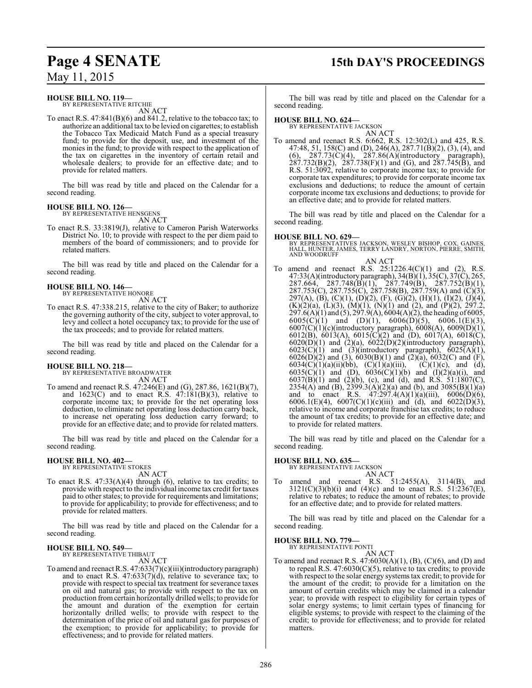## **Page 4 SENATE 15th DAY'S PROCEEDINGS**

May 11, 2015

#### **HOUSE BILL NO. 119—**

BY REPRESENTATIVE RITCHIE AN ACT

To enact R.S. 47:841(B)(6) and 841.2, relative to the tobacco tax; to authorize an additional tax to be levied on cigarettes; to establish the Tobacco Tax Medicaid Match Fund as a special treasury fund; to provide for the deposit, use, and investment of the monies in the fund; to provide with respect to the application of the tax on cigarettes in the inventory of certain retail and wholesale dealers; to provide for an effective date; and to provide for related matters.

The bill was read by title and placed on the Calendar for a second reading.

### **HOUSE BILL NO. 126—** BY REPRESENTATIVE HENSGENS

AN ACT

To enact R.S. 33:3819(J), relative to Cameron Parish Waterworks District No. 10; to provide with respect to the per diem paid to members of the board of commissioners; and to provide for related matters.

The bill was read by title and placed on the Calendar for a second reading.

#### **HOUSE BILL NO. 146—** BY REPRESENTATIVE HONORE

AN ACT

To enact R.S. 47:338.215, relative to the city of Baker; to authorize the governing authority of the city, subject to voter approval, to levy and collect a hotel occupancy tax; to provide for the use of the tax proceeds; and to provide for related matters.

The bill was read by title and placed on the Calendar for a second reading.

### **HOUSE BILL NO. 218—**

BY REPRESENTATIVE BROADWATER AN ACT

To amend and reenact R.S. 47:246(E) and (G), 287.86, 1621(B)(7), and  $1623(C)$  and to enact R.S.  $47:181(B)(3)$ , relative to corporate income tax; to provide for the net operating loss deduction, to eliminate net operating loss deduction carry back, to increase net operating loss deduction carry forward; to provide for an effective date; and to provide for related matters.

The bill was read by title and placed on the Calendar for a second reading.

#### **HOUSE BILL NO. 402—**

BY REPRESENTATIVE STOKES AN ACT

To enact R.S. 47:33(A)(4) through (6), relative to tax credits; to provide with respect to the individual income tax credit for taxes paid to other states; to provide for requirements and limitations; to provide for applicability; to provide for effectiveness; and to provide for related matters.

The bill was read by title and placed on the Calendar for a second reading.

#### **HOUSE BILL NO. 549—** BY REPRESENTATIVE THIBAUT

AN ACT

To amend and reenact R.S. 47:633(7)(c)(iii)(introductory paragraph) and to enact R.S.  $47:633(7)(d)$ , relative to severance tax; to provide with respect to special tax treatment for severance taxes on oil and natural gas; to provide with respect to the tax on production fromcertain horizontally drilled wells; to provide for the amount and duration of the exemption for certain horizontally drilled wells; to provide with respect to the determination of the price of oil and natural gas for purposes of the exemption; to provide for applicability; to provide for effectiveness; and to provide for related matters.

The bill was read by title and placed on the Calendar for a second reading.

#### **HOUSE BILL NO. 624—**

BY REPRESENTATIVE JACKSON AN ACT

To amend and reenact R.S. 6:662, R.S. 12:302(L) and 425, R.S. 47:48, 51, 158(C) and (D), 246(A), 287.71(B)(2), (3), (4), and  $(6)$ , 287.73 $(\dot{C})(4)$ , 287.86 $(\dot{A})(introductory$  paragraph),  $287.732(B)(2)$ ,  $287.738(F)(1)$  and (G), and  $287.745(B)$ , and R.S. 51:3092, relative to corporate income tax; to provide for corporate tax expenditures; to provide for corporate income tax exclusions and deductions; to reduce the amount of certain corporate income tax exclusions and deductions; to provide for an effective date; and to provide for related matters.

The bill was read by title and placed on the Calendar for a second reading.

**HOUSE BILL NO. 629—** BY REPRESENTATIVES JACKSON, WESLEY BISHOP, COX, GAINES, HALL, HUNTER, JAMES, TERRY LANDRY, NORTON, PIERRE, SMITH, AND WOODRUFF

AN ACT

To amend and reenact R.S. 25:1226.4(C)(1) and (2), R.S. 47:33(A)(introductory paragraph), 34(B)(1), 35(C), 37(C), 265,  $287.664, 287.748(B)(1), 287.749(B), 287.752(B)(1),$ 287.753(C), 287.755(C), 287.758(B), 287.759(A) and (C)(3), 297(A), (B), (C)(1), (D)(2), (F), (G)(2), (H)(1), (I)(2), (J)(4),  $(K)(2)(a)$ ,  $(L)(3)$ ,  $(M)(1)$ ,  $(N)(1)$  and  $(2)$ , and  $(P)(2)$ , 297.2, 297.6(A)(1) and (5), 297.9(A), 6004(A)(2), the heading of 6005,  $6005(C)(1)$  and  $(D)(1)$ ,  $6006(D)(5)$ ,  $6006.1(E)(3)$ , 6007(C)(1)(c)(introductory paragraph), 6008(A), 6009(D)(1), 6012(B), 6013(A), 6015(C)(2) and (D), 6017(A), 6018(C),  $6020(D)(1)$  and  $(2)(a)$ ,  $6022(D)(2)(introductory paragraph)$ ,  $6023(\text{C})(1)$  and  $(3)(\text{introducing paragraph}), 6025(\text{A})(1),$ 6026(D)(2) and (3), 6030(B)(1) and (2)(a), 6032(C) and (F), 6034(C)(1)(a)(ii)(bb), (C)(1)(a)(iii), (C)(1)(c), and (d), 6035(C)(1) and (D),  $6036(C)(1)(b)$  and  $(1)(2)(a)(i)$ , and  $6037(B)(1)$  and  $(2)(b)$ , (c), and (d), and R.S. 51:1807(C), 2354(A) and (B), 2399.3(A)(2)(a) and (b), and 3085(B)(1)(a) and to enact R.S.  $47:297.4(A)(1)(a)(iii)$ ,  $6006(D)(6)$ , 6006.1(E)(4), 6007(C)(1)(c)(iii) and (d), and 6022(D)(3), relative to income and corporate franchise tax credits; to reduce the amount of tax credits; to provide for an effective date; and to provide for related matters.

The bill was read by title and placed on the Calendar for a second reading.

#### **HOUSE BILL NO. 635—**

BY REPRESENTATIVE JACKSON

AN ACT To amend and reenact R.S. 51:2455(A), 3114(B), and  $3121(C)(3)(b)(i)$  and  $(4)(c)$  and to enact R.S.  $51:2367(E)$ , relative to rebates; to reduce the amount of rebates; to provide for an effective date; and to provide for related matters.

The bill was read by title and placed on the Calendar for a second reading.

#### **HOUSE BILL NO. 779—** BY REPRESENTATIVE PONTI

AN ACT

To amend and reenact R.S. 47:6030(A)(1), (B), (C)(6), and (D) and to repeal R.S.  $47:6030(C)(5)$ , relative to tax credits; to provide with respect to the solar energy systemstax credit; to provide for the amount of the credit; to provide for a limitation on the amount of certain credits which may be claimed in a calendar year; to provide with respect to eligibility for certain types of solar energy systems; to limit certain types of financing for eligible systems; to provide with respect to the claiming of the credit; to provide for effectiveness; and to provide for related matters.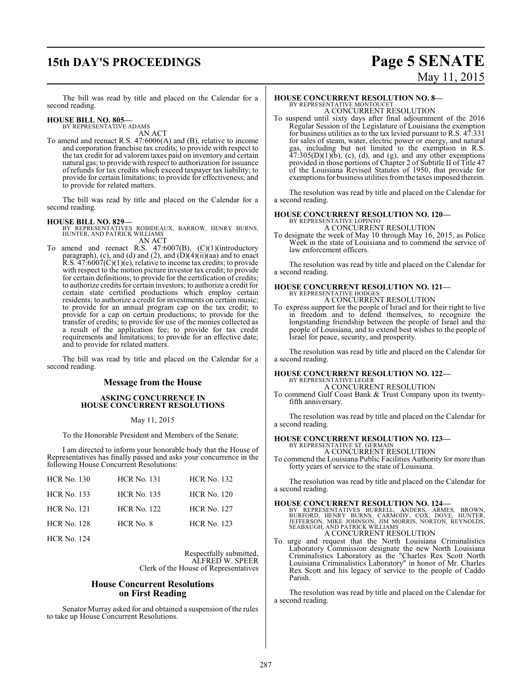## **15th DAY'S PROCEEDINGS Page 5 SENATE**

# May 11, 2015

The bill was read by title and placed on the Calendar for a second reading.

# **HOUSE BILL NO. 805—** BY REPRESENTATIVE ADAMS AN ACT

To amend and reenact R.S. 47:6006(A) and (B), relative to income and corporation franchise tax credits; to provide with respect to the tax credit for ad valorem taxes paid on inventory and certain natural gas; to provide with respect to authorization for issuance of refunds for tax credits which exceed taxpayer tax liability; to provide for certain limitations; to provide for effectiveness; and to provide for related matters.

The bill was read by title and placed on the Calendar for a second reading.

**HOUSE BILL NO. 829—** BY REPRESENTATIVES ROBIDEAUX, BARROW, HENRY BURNS, HUNTER, AND PATRICK WILLIAMS AN ACT

To amend and reenact R.S. 47:6007(B), (C)(1)(introductory paragraph), (c), and (d) and (2), and  $(D)(4)(ii)(aa)$  and to enact R.S.  $47:6007(C)(1)(e)$ , relative to income tax credits; to provide with respect to the motion picture investor tax credit; to provide for certain definitions; to provide for the certification of credits; to authorize credits for certain investors; to authorize a credit for certain state certified productions which employ certain residents; to authorize a credit for investments on certain music; to provide for an annual program cap on the tax credit; to provide for a cap on certain productions; to provide for the transfer of credits; to provide for use of the monies collected as a result of the application fee; to provide for tax credit requirements and limitations; to provide for an effective date; and to provide for related matters.

The bill was read by title and placed on the Calendar for a second reading.

#### **Message from the House**

#### **ASKING CONCURRENCE IN HOUSE CONCURRENT RESOLUTIONS**

#### May 11, 2015

To the Honorable President and Members of the Senate:

I am directed to inform your honorable body that the House of Representatives has finally passed and asks your concurrence in the following House Concurrent Resolutions:

| <b>HCR No. 130</b> | <b>HCR No. 131</b> | <b>HCR No. 132</b> |
|--------------------|--------------------|--------------------|
| <b>HCR No. 133</b> | <b>HCR No. 135</b> | <b>HCR No. 120</b> |
| <b>HCR No. 121</b> | <b>HCR No. 122</b> | <b>HCR No. 127</b> |
| <b>HCR No. 128</b> | HCR No. 8          | <b>HCR No. 123</b> |
|                    |                    |                    |

HCR No. 124

Respectfully submitted, ALFRED W. SPEER Clerk of the House of Representatives

#### **House Concurrent Resolutions on First Reading**

Senator Murray asked for and obtained a suspension of the rules to take up House Concurrent Resolutions.

#### **HOUSE CONCURRENT RESOLUTION NO. 8—**

BY REPRESENTATIVE MONTOUCET A CONCURRENT RESOLUTION

To suspend until sixty days after final adjournment of the 2016 Regular Session of the Legislature of Louisiana the exemption for business utilities as to the tax levied pursuant to R.S. 47:331 for sales of steam, water, electric power or energy, and natural gas, including but not limited to the exemption in R.S.  $47:305(D)(1)(b)$ , (c), (d), and (g), and any other exemptions provided in those portions of Chapter 2 of Subtitle II of Title 47 of the Louisiana Revised Statutes of 1950, that provide for exemptions for business utilities fromthe taxes imposed therein.

The resolution was read by title and placed on the Calendar for a second reading.

#### **HOUSE CONCURRENT RESOLUTION NO. 120—**

BY REPRESENTATIVE LOPINTO A CONCURRENT RESOLUTION

To designate the week of May 10 through May 16, 2015, as Police Week in the state of Louisiana and to commend the service of law enforcement officers.

The resolution was read by title and placed on the Calendar for a second reading.

# **HOUSE CONCURRENT RESOLUTION NO. 121—** BY REPRESENTATIVE HODGES

A CONCURRENT RESOLUTION

To express support for the people of Israel and for their right to live in freedom and to defend themselves, to recognize the longstanding friendship between the people of Israel and the people of Louisiana, and to extend best wishes to the people of Israel for peace, security, and prosperity.

The resolution was read by title and placed on the Calendar for a second reading.

#### **HOUSE CONCURRENT RESOLUTION NO. 122—** BY REPRESENTATIVE LEGER

A CONCURRENT RESOLUTION

To commend Gulf Coast Bank & Trust Company upon its twentyfifth anniversary.

The resolution was read by title and placed on the Calendar for a second reading.

# **HOUSE CONCURRENT RESOLUTION NO. 123—** BY REPRESENTATIVE ST. GERMAIN A CONCURRENT RESOLUTION

To commend the Louisiana Public Facilities Authority for more than forty years of service to the state of Louisiana.

The resolution was read by title and placed on the Calendar for a second reading.

#### **HOUSE CONCURRENT RESOLUTION NO. 124—**

BY REPRESENTATIVES BURRELL, ANDERS, ARMES, BROWN,<br>BURFORD, HENRY BURNS, CARMODY, COX, DOVE, HUNTER,<br>JEFFERSON, MIKE JOHNSON, JIM MORRIS, NORTON, REYNOLDS, SEABAUGH, AND PATRICK WILLIAMS A CONCURRENT RESOLUTION

To urge and request that the North Louisiana Criminalistics Laboratory Commission designate the new North Louisiana Criminalistics Laboratory as the "Charles Rex Scott North Louisiana Criminalistics Laboratory" in honor of Mr. Charles Rex Scott and his legacy of service to the people of Caddo Parish.

The resolution was read by title and placed on the Calendar for a second reading.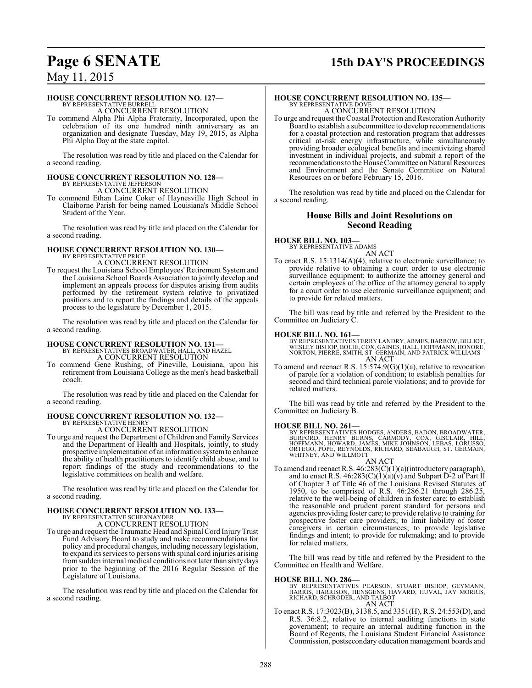## **Page 6 SENATE 15th DAY'S PROCEEDINGS**

### May 11, 2015

#### **HOUSE CONCURRENT RESOLUTION NO. 127—**

BY REPRESENTATIVE BURRELL A CONCURRENT RESOLUTION

To commend Alpha Phi Alpha Fraternity, Incorporated, upon the celebration of its one hundred ninth anniversary as an organization and designate Tuesday, May 19, 2015, as Alpha Phi Alpha Day at the state capitol.

The resolution was read by title and placed on the Calendar for a second reading.

## **HOUSE CONCURRENT RESOLUTION NO. 128—** BY REPRESENTATIVE JEFFERSON

A CONCURRENT RESOLUTION

To commend Ethan Laine Coker of Haynesville High School in Claiborne Parish for being named Louisiana's Middle School Student of the Year.

The resolution was read by title and placed on the Calendar for a second reading.

# **HOUSE CONCURRENT RESOLUTION NO. 130—** BY REPRESENTATIVE PRICE

A CONCURRENT RESOLUTION

To request the Louisiana School Employees' Retirement System and the Louisiana School Boards Association to jointly develop and implement an appeals process for disputes arising from audits performed by the retirement system relative to privatized positions and to report the findings and details of the appeals process to the legislature by December 1, 2015.

The resolution was read by title and placed on the Calendar for a second reading.

#### **HOUSE CONCURRENT RESOLUTION NO. 131—** BY REPRESENTATIVES BROADWATER, HALL, AND HAZEL

A CONCURRENT RESOLUTION

To commend Gene Rushing, of Pineville, Louisiana, upon his retirement from Louisiana College as the men's head basketball coach.

The resolution was read by title and placed on the Calendar for a second reading.

# **HOUSE CONCURRENT RESOLUTION NO. 132—** BY REPRESENTATIVE HENRY

A CONCURRENT RESOLUTION

To urge and request the Department of Children and Family Services and the Department of Health and Hospitals, jointly, to study prospective implementation of an information systemto enhance the ability of health practitioners to identify child abuse, and to report findings of the study and recommendations to the legislative committees on health and welfare.

The resolution was read by title and placed on the Calendar for a second reading.

### **HOUSE CONCURRENT RESOLUTION NO. 133—**

BY REPRESENTATIVE SCHEXNAYDER A CONCURRENT RESOLUTION

To urge and request the Traumatic Head and Spinal Cord InjuryTrust Fund Advisory Board to study and make recommendations for policy and procedural changes, including necessary legislation, to expand its services to persons with spinal cord injuries arising fromsudden internal medical conditions not later than sixty days prior to the beginning of the 2016 Regular Session of the Legislature of Louisiana.

The resolution was read by title and placed on the Calendar for a second reading.

### **HOUSE CONCURRENT RESOLUTION NO. 135—**

BY REPRESENTATIVE DOVE A CONCURRENT RESOLUTION

To urge and request the Coastal Protection and Restoration Authority Board to establish a subcommittee to develop recommendations for a coastal protection and restoration program that addresses critical at-risk energy infrastructure, while simultaneously providing broader ecological benefits and incentivizing shared investment in individual projects, and submit a report of the recommendations to the House Committee on Natural Resources and Environment and the Senate Committee on Natural Resources on or before February 15, 2016.

The resolution was read by title and placed on the Calendar for a second reading.

#### **House Bills and Joint Resolutions on Second Reading**

#### **HOUSE BILL NO. 103—**

BY REPRESENTATIVE ADAMS AN ACT

To enact R.S. 15:1314(A)(4), relative to electronic surveillance; to provide relative to obtaining a court order to use electronic surveillance equipment; to authorize the attorney general and certain employees of the office of the attorney general to apply for a court order to use electronic surveillance equipment; and to provide for related matters.

The bill was read by title and referred by the President to the Committee on Judiciary C.

**HOUSE BILL NO. 161—**<br>BY REPRESENTATIVES TERRY LANDRY, ARMES, BARROW, BILLIOT,<br>WESLEY BISHOP, BOUIE, COX, GAINES, HALL, HOFFMANN, HONORE,<br>NORTON, PIERRE, SMITH, ST. GERMAIN, AND PATRICK WILLIAMS AN ACT

To amend and reenact R.S. 15:574.9(G)(1)(a), relative to revocation of parole for a violation of condition; to establish penalties for second and third technical parole violations; and to provide for related matters.

The bill was read by title and referred by the President to the Committee on Judiciary B.

**HOUSE BILL NO. 261—**<br>BY REPRESENTATIVES HODGES, ANDERS, BADON, BROADWATER,<br>BURFORD, HENRY BURNS, CARMODY, COX, GISCLAIR, HILL,<br>HOFFMANN, HOWARD, JAMÉS, MIKE JOHNSON, LEBAS, LORUSSO,<br>ORTEGO, PÒPE, REYNÒLDS, RICHARD, SEABAU

#### AN ACT

To amend and reenact R.S. 46:283(C)(1)(a)(introductory paragraph), and to enact R.S.  $46:283(C)(1)(a)(v)$  and Subpart D-2 of Part II of Chapter 3 of Title 46 of the Louisiana Revised Statutes of 1950, to be comprised of R.S. 46:286.21 through 286.25, relative to the well-being of children in foster care; to establish the reasonable and prudent parent standard for persons and agencies providing foster care; to provide relative to training for prospective foster care providers; to limit liability of foster caregivers in certain circumstances; to provide legislative findings and intent; to provide for rulemaking; and to provide for related matters.

The bill was read by title and referred by the President to the Committee on Health and Welfare.

#### **HOUSE BILL NO. 286—**

BY REPRESENTATIVES PEARSON, STUART BISHOP, GEYMANN,<br>HARRIS, HARRISON, HENSGENS, HAVARD, HUVAL, JAY MORRIS,<br>RICHARD, SCHRODER, AND TALBOT<br>AN ACT

To enact R.S. 17:3023(B), 3138.5, and 3351(H), R.S. 24:553(D), and R.S. 36:8.2, relative to internal auditing functions in state government; to require an internal auditing function in the Board of Regents, the Louisiana Student Financial Assistance Commission, postsecondary education management boards and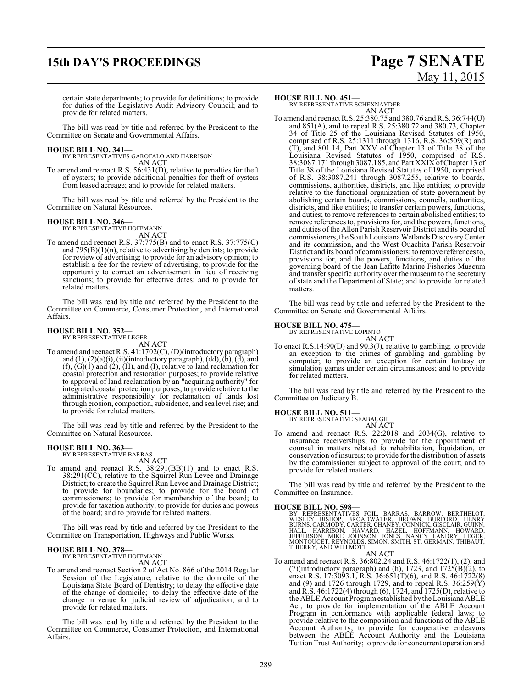## **15th DAY'S PROCEEDINGS Page 7 SENATE**

# May 11, 2015

certain state departments; to provide for definitions; to provide for duties of the Legislative Audit Advisory Council; and to provide for related matters.

The bill was read by title and referred by the President to the Committee on Senate and Governmental Affairs.

#### **HOUSE BILL NO. 341—**

BY REPRESENTATIVES GAROFALO AND HARRISON AN ACT

To amend and reenact R.S. 56:431(D), relative to penalties for theft of oysters; to provide additional penalties for theft of oysters from leased acreage; and to provide for related matters.

The bill was read by title and referred by the President to the Committee on Natural Resources.

#### **HOUSE BILL NO. 346—**

BY REPRESENTATIVE HOFFMANN AN ACT

To amend and reenact R.S. 37:775(B) and to enact R.S. 37:775(C) and  $795(B)(1)(n)$ , relative to advertising by dentists; to provide for review of advertising; to provide for an advisory opinion; to establish a fee for the review of advertising; to provide for the opportunity to correct an advertisement in lieu of receiving sanctions; to provide for effective dates; and to provide for related matters.

The bill was read by title and referred by the President to the Committee on Commerce, Consumer Protection, and International Affairs.

#### **HOUSE BILL NO. 352—**

BY REPRESENTATIVE LEGER

AN ACT

To amend and reenact R.S. 41:1702(C), (D)(introductory paragraph) and  $(1)$ ,  $(2)(a)(i)$ ,  $(ii)(introductory paragraph)$ ,  $(dd)$ ,  $(b)$ ,  $(d)$ , and (f), (G)(1) and (2), (H), and (I), relative to land reclamation for coastal protection and restoration purposes; to provide relative to approval of land reclamation by an "acquiring authority" for integrated coastal protection purposes; to provide relative to the administrative responsibility for reclamation of lands lost through erosion, compaction, subsidence, and sea level rise; and to provide for related matters.

The bill was read by title and referred by the President to the Committee on Natural Resources.

### **HOUSE BILL NO. 363—** BY REPRESENTATIVE BARRAS

AN ACT

To amend and reenact R.S. 38:291(BB)(1) and to enact R.S. 38:291(CC), relative to the Squirrel Run Levee and Drainage District; to create the Squirrel Run Levee and Drainage District; to provide for boundaries; to provide for the board of commissioners; to provide for membership of the board; to provide for taxation authority; to provide for duties and powers of the board; and to provide for related matters.

The bill was read by title and referred by the President to the Committee on Transportation, Highways and Public Works.

#### **HOUSE BILL NO. 378—** BY REPRESENTATIVE HOFFMANN

AN ACT To amend and reenact Section 2 of Act No. 866 of the 2014 Regular Session of the Legislature, relative to the domicile of the Louisiana State Board of Dentistry; to delay the effective date of the change of domicile; to delay the effective date of the change in venue for judicial review of adjudication; and to provide for related matters.

The bill was read by title and referred by the President to the Committee on Commerce, Consumer Protection, and International Affairs.

#### **HOUSE BILL NO. 451—**

BY REPRESENTATIVE SCHEXNAYDER AN ACT

To amend and reenact R.S. 25:380.75 and 380.76 andR.S. 36:744(U) and 851(A), and to repeal R.S. 25:380.72 and 380.73, Chapter 34 of Title 25 of the Louisiana Revised Statutes of 1950, comprised of R.S. 25:1311 through 1316, R.S. 36:509(R) and (T), and 801.14, Part XXV of Chapter 13 of Title 38 of the Louisiana Revised Statutes of 1950, comprised of R.S. 38:3087.171 through 3087.185, and Part XXIX ofChapter 13 of Title 38 of the Louisiana Revised Statutes of 1950, comprised of R.S. 38:3087.241 through 3087.255, relative to boards, commissions, authorities, districts, and like entities; to provide relative to the functional organization of state government by abolishing certain boards, commissions, councils, authorities, districts, and like entities; to transfer certain powers, functions, and duties; to remove references to certain abolished entities; to remove references to, provisions for, and the powers, functions, and duties of the Allen Parish Reservoir District and its board of commissioners, the South LouisianaWetlands DiscoveryCenter and its commission, and the West Ouachita Parish Reservoir District and its board of commissioners; to remove references to, provisions for, and the powers, functions, and duties of the governing board of the Jean Lafitte Marine Fisheries Museum and transfer specific authority over the museum to the secretary of state and the Department of State; and to provide for related matters.

The bill was read by title and referred by the President to the Committee on Senate and Governmental Affairs.

#### **HOUSE BILL NO. 475—**

BY REPRESENTATIVE LOPINTO AN ACT

To enact R.S.14:90(D) and 90.3(J), relative to gambling; to provide an exception to the crimes of gambling and gambling by computer; to provide an exception for certain fantasy or simulation games under certain circumstances; and to provide for related matters.

The bill was read by title and referred by the President to the Committee on Judiciary B.

#### **HOUSE BILL NO. 511—**

BY REPRESENTATIVE SEABAUGH AN ACT

To amend and reenact R.S. 22:2018 and 2034(G), relative to insurance receiverships; to provide for the appointment of counsel in matters related to rehabilitation, liquidation, or conservation of insurers; to provide for the distribution of assets by the commissioner subject to approval of the court; and to provide for related matters.

The bill was read by title and referred by the President to the Committee on Insurance.

**HOUSE BILL NO. 598—**<br>BY REPRESENTATIVES FOIL, BARRAS, BARROW, BERTHELOT, WESLEY BISHOP, BROADWATER, BRÓWN, BURFORD, HENRY<br>BURNS, CARMODY, CARTER, CHANEY, CONNICK, GISCLAIR, GUINN,<br>HALL, HARRISON, HAVARD, HAZEL, HOFFMANN,

AN ACT

To amend and reenact R.S. 36:802.24 and R.S. 46:1722(1), (2), and (7)(introductory paragraph) and (h), 1723, and  $1725(B)(2)$ , to enact R.S. 17:3093.1, R.S. 36:651(T)(6), and R.S. 46:1722(8) and (9) and 1726 through 1729, and to repeal R.S. 36:259(Y) and R.S. 46:1722(4) through (6), 1724, and 1725(D), relative to the ABLE Account Programestablished bythe Louisiana ABLE Act; to provide for implementation of the ABLE Account Program in conformance with applicable federal laws; to provide relative to the composition and functions of the ABLE Account Authority; to provide for cooperative endeavors between the ABLE Account Authority and the Louisiana Tuition Trust Authority; to provide for concurrent operation and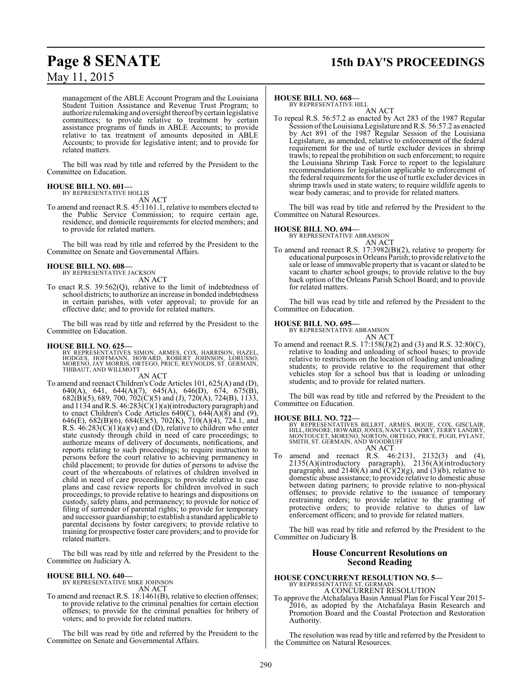## **Page 8 SENATE 15th DAY'S PROCEEDINGS**

management of the ABLE Account Program and the Louisiana Student Tuition Assistance and Revenue Trust Program; to authorize rulemaking and oversight thereof by certain legislative committees; to provide relative to treatment by certain assistance programs of funds in ABLE Accounts; to provide relative to tax treatment of amounts deposited in ABLE Accounts; to provide for legislative intent; and to provide for related matters.

The bill was read by title and referred by the President to the Committee on Education.

#### **HOUSE BILL NO. 601—** BY REPRESENTATIVE HOLLIS

AN ACT

To amend and reenact R.S. 45:1161.1, relative to members elected to the Public Service Commission; to require certain age, residence, and domicile requirements for elected members; and to provide for related matters.

The bill was read by title and referred by the President to the Committee on Senate and Governmental Affairs.

#### **HOUSE BILL NO. 608—** BY REPRESENTATIVE JACKSON

AN ACT

To enact R.S. 39:562(Q), relative to the limit of indebtedness of school districts; to authorize an increase in bonded indebtedness in certain parishes, with voter approval; to provide for an effective date; and to provide for related matters.

The bill was read by title and referred by the President to the Committee on Education.

#### **HOUSE BILL NO. 625—**

- BY REPRESENTATIVES SIMON, ARMES, COX, HARRISON, HAZEL,<br>HODGES, HOFFMANN, HOWARD, ROBERT JOHNSON, LORUSSO,<br>MORENO, JAY MORRIS, ORTEGO, PRICE, REYNOLDS, ST. GERMAIN,<br>THIBAUT, AND WILLMOTT AN ACT
- To amend and reenact Children's Code Articles 101, 625(A) and (D), 640(A), 641, 644(A)(7), 645(A), 646(D), 674, 675(B), 682(B)(5), 689, 700, 702(C)(5) and (J), 720(A), 724(B), 1133, and  $1134$  and R.S.  $46:283(C)(1)(a)$ (introductory paragraph) and to enact Children's Code Articles  $640(C)$ ,  $644(A)(8)$  and  $(9)$ , 646(E), 682(B)(6), 684(E)(5), 702(K), 710(A)(4), 724.1, and R.S.  $46:283(C)(1)(a)(v)$  and (D), relative to children who enter state custody through child in need of care proceedings; to authorize means of delivery of documents, notifications, and reports relating to such proceedings; to require instruction to persons before the court relative to achieving permanency in child placement; to provide for duties of persons to advise the court of the whereabouts of relatives of children involved in child in need of care proceedings; to provide relative to case plans and case review reports for children involved in such proceedings; to provide relative to hearings and dispositions on custody, safety plans, and permanency; to provide for notice of filing of surrender of parental rights; to provide for temporary and successor guardianship; to establish a standard applicable to parental decisions by foster caregivers; to provide relative to training for prospective foster care providers; and to provide for related matters.

The bill was read by title and referred by the President to the Committee on Judiciary A.

#### **HOUSE BILL NO. 640—**

BY REPRESENTATIVE MIKE JOHNSON AN ACT

To amend and reenact R.S. 18:1461(B), relative to election offenses; to provide relative to the criminal penalties for certain election offenses; to provide for the criminal penalties for bribery of voters; and to provide for related matters.

The bill was read by title and referred by the President to the Committee on Senate and Governmental Affairs.

#### **HOUSE BILL NO. 668—**

BY REPRESENTATIVE HILL

AN ACT To repeal R.S. 56:57.2 as enacted by Act 283 of the 1987 Regular Session of the Louisiana Legislature and R.S. 56:57.2 as enacted by Act 891 of the 1987 Regular Session of the Louisiana Legislature, as amended, relative to enforcement of the federal requirement for the use of turtle excluder devices in shrimp trawls; to repeal the prohibition on such enforcement; to require the Louisiana Shrimp Task Force to report to the legislature recommendations for legislation applicable to enforcement of the federal requirements for the use of turtle excluder devices in shrimp trawls used in state waters; to require wildlife agents to wear body cameras; and to provide for related matters.

The bill was read by title and referred by the President to the Committee on Natural Resources.

#### **HOUSE BILL NO. 694—**

BY REPRESENTATIVE ABRAMSON AN ACT

To amend and reenact R.S. 17:3982(B)(2), relative to property for educational purposes in Orleans Parish; to provide relative to the sale or lease of immovable property that is vacant or slated to be vacant to charter school groups; to provide relative to the buy back option of the Orleans Parish School Board; and to provide for related matters.

The bill was read by title and referred by the President to the Committee on Education.

#### **HOUSE BILL NO. 695—**

BY REPRESENTATIVE ABRAMSON AN ACT

To amend and reenact R.S. 17:158(J)(2) and (3) and R.S. 32:80(C), relative to loading and unloading of school buses; to provide relative to restrictions on the location of loading and unloading students; to provide relative to the requirement that other vehicles stop for a school bus that is loading or unloading students; and to provide for related matters.

The bill was read by title and referred by the President to the Committee on Education.

**HOUSE BILL NO. 722—** BY REPRESENTATIVES BILLIOT, ARMES, BOUIE, COX, GISCLAIR, HILL, HONORE, HOWARD,JONES, NANCY LANDRY, TERRY LANDRY, MONTOUCET, MORENO, NORTON, ORTEGO, PRICE, PUGH, PYLANT, SMITH, ST. GERMAIN, AND WOODRUFF AN ACT

To amend and reenact R.S. 46:2131, 2132(3) and (4), 2135(A)(introductory paragraph), 2136(A)(introductory paragraph), and  $2140(A)$  and  $(C)(2)(g)$ , and  $(3)(b)$ , relative to domestic abuse assistance; to provide relative to domestic abuse between dating partners; to provide relative to non-physical offenses; to provide relative to the issuance of temporary restraining orders; to provide relative to the granting of protective orders; to provide relative to duties of law enforcement officers; and to provide for related matters.

The bill was read by title and referred by the President to the Committee on Judiciary B.

#### **House Concurrent Resolutions on Second Reading**

#### **HOUSE CONCURRENT RESOLUTION NO. 5—** BY REPRESENTATIVE ST. GERMAIN A CONCURRENT RESOLUTION

To approve the Atchafalaya Basin Annual Plan for Fiscal Year 2015- 2016, as adopted by the Atchafalaya Basin Research and Promotion Board and the Coastal Protection and Restoration Authority.

The resolution was read by title and referred by the President to the Committee on Natural Resources.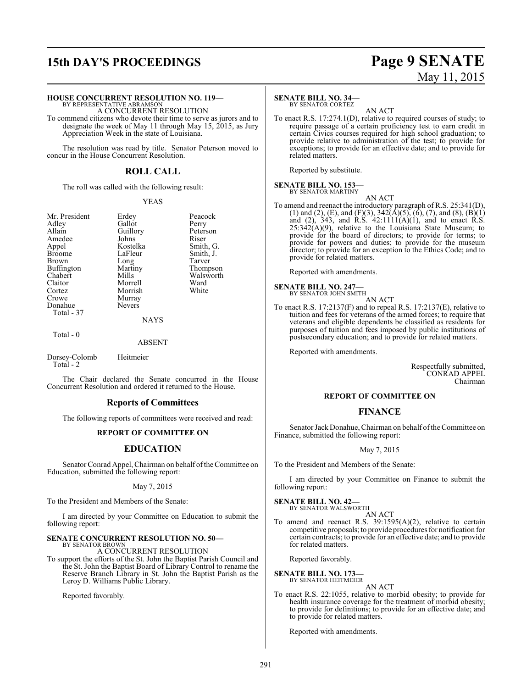## **15th DAY'S PROCEEDINGS Page 9 SENATE**

#### **HOUSE CONCURRENT RESOLUTION NO. 119—**

BY REPRESENTATIVE ABRAMSON A CONCURRENT RESOLUTION

To commend citizens who devote their time to serve as jurors and to designate the week of May 11 through May 15, 2015, as Jury Appreciation Week in the state of Louisiana.

The resolution was read by title. Senator Peterson moved to concur in the House Concurrent Resolution.

### **ROLL CALL**

The roll was called with the following result:

#### YEAS

Mr. President Erdey Peacock<br>Adley Gallot Perry Adley Gallot Perry<br>
Allain Guillory Peterson Amedee Johns Riser<br>
Appel Kostelka Smith, G. Appel Kostelka<br>Broome LaFleur Brown Long Tarver<br>Buffington Martiny Thompson Buffington Martin<br>Chabert Mills Chabert Mills Walsworth<br>Claitor Morrell Ward Claitor Morrell Ward<br>Cortez Morrish White Cortez Morrish<br>Crowe Murray Donahue Total - 37

Guillory Peters<br>Johns Riser LaFleur Smith, J.<br>Long Tarver Murray<br>Nevers

NAYS

Total - 0

ABSENT

Dorsey-Colomb Heitmeier Total - 2

The Chair declared the Senate concurred in the House Concurrent Resolution and ordered it returned to the House.

#### **Reports of Committees**

The following reports of committees were received and read:

#### **REPORT OF COMMITTEE ON**

#### **EDUCATION**

Senator Conrad Appel, Chairman on behalf of the Committee on Education, submitted the following report:

May 7, 2015

To the President and Members of the Senate:

I am directed by your Committee on Education to submit the following report:

#### **SENATE CONCURRENT RESOLUTION NO. 50—**

BY SENATOR BROWN A CONCURRENT RESOLUTION

To support the efforts of the St. John the Baptist Parish Council and the St. John the Baptist Board of Library Control to rename the Reserve Branch Library in St. John the Baptist Parish as the Leroy D. Williams Public Library.

Reported favorably.

#### **SENATE BILL NO. 34—**

BY SENATOR CORTEZ

AN ACT To enact R.S. 17:274.1(D), relative to required courses of study; to require passage of a certain proficiency test to earn credit in certain Civics courses required for high school graduation; to provide relative to administration of the test; to provide for exceptions; to provide for an effective date; and to provide for related matters.

Reported by substitute.

**SENATE BILL NO. 153—** BY SENATOR MARTINY

AN ACT

To amend and reenact the introductory paragraph of R.S. 25:341(D), (1) and (2), (E), and (F)(3),  $342(\text{\AA})(5)$ , (6), (7), and (8), (B)(1) and  $(2)$ , 343, and R.S. 42:1111 $(A)(1)$ , and to enact R.S.  $25:342(A)(9)$ , relative to the Louisiana State Museum; to provide for the board of directors; to provide for terms; to provide for powers and duties; to provide for the museum director; to provide for an exception to the Ethics Code; and to provide for related matters.

Reported with amendments.

#### **SENATE BILL NO. 247—**

BY SENATOR JOHN SMITH AN ACT

To enact R.S. 17:2137(F) and to repeal R.S. 17:2137(E), relative to tuition and fees for veterans of the armed forces; to require that veterans and eligible dependents be classified as residents for purposes of tuition and fees imposed by public institutions of postsecondary education; and to provide for related matters.

Reported with amendments.

Respectfully submitted, CONRAD APPEL Chairman

#### **REPORT OF COMMITTEE ON**

#### **FINANCE**

Senator Jack Donahue, Chairman on behalf of the Committee on Finance, submitted the following report:

#### May 7, 2015

To the President and Members of the Senate:

I am directed by your Committee on Finance to submit the following report:

**SENATE BILL NO. 42—** BY SENATOR WALSWORTH

AN ACT

To amend and reenact R.S. 39:1595(A)(2), relative to certain competitive proposals; to provide procedures for notification for certain contracts; to provide for an effective date; and to provide for related matters.

Reported favorably.

**SENATE BILL NO. 173—** BY SENATOR HEITMEIER

AN ACT

To enact R.S. 22:1055, relative to morbid obesity; to provide for health insurance coverage for the treatment of morbid obesity; to provide for definitions; to provide for an effective date; and to provide for related matters.

Reported with amendments.

# May 11, 2015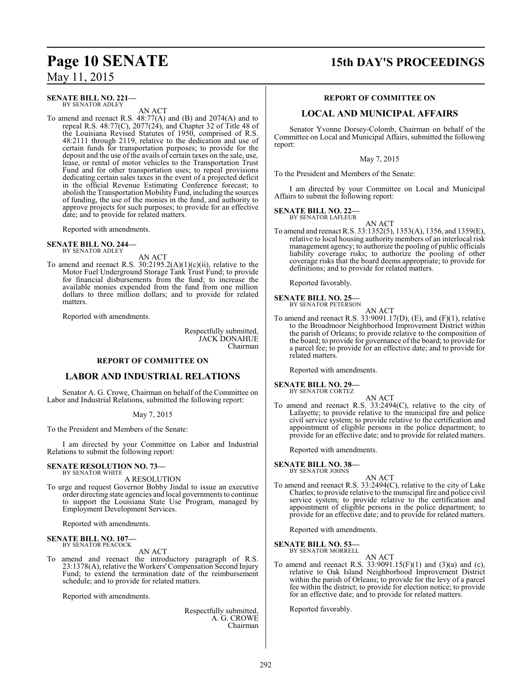### **Page 10 SENATE 15th DAY'S PROCEEDINGS**

May 11, 2015

#### **SENATE BILL NO. 221—** BY SENATOR ADLEY

AN ACT

To amend and reenact R.S. 48:77(A) and (B) and 2074(A) and to repeal R.S. 48:77(C), 2077(24), and Chapter 32 of Title 48 of the Louisiana Revised Statutes of 1950, comprised of R.S. 48:2111 through 2119, relative to the dedication and use of certain funds for transportation purposes; to provide for the deposit and the use of the avails of certain taxes on the sale, use, lease, or rental of motor vehicles to the Transportation Trust Fund and for other transportation uses; to repeal provisions dedicating certain sales taxes in the event of a projected deficit in the official Revenue Estimating Conference forecast; to abolish the Transportation Mobility Fund, including the sources of funding, the use of the monies in the fund, and authority to approve projects for such purposes; to provide for an effective date; and to provide for related matters.

Reported with amendments.

**SENATE BILL NO. 244—** BY SENATOR ADLEY

AN ACT

To amend and reenact R.S.  $30:2195.2(A)(1)(c)(ii)$ , relative to the Motor Fuel Underground Storage Tank Trust Fund; to provide for financial disbursements from the fund; to increase the available monies expended from the fund from one million dollars to three million dollars; and to provide for related matters.

Reported with amendments.

Respectfully submitted, JACK DONAHUE Chairman

#### **REPORT OF COMMITTEE ON**

#### **LABOR AND INDUSTRIAL RELATIONS**

Senator A. G. Crowe, Chairman on behalf of the Committee on Labor and Industrial Relations, submitted the following report:

#### May 7, 2015

To the President and Members of the Senate:

I am directed by your Committee on Labor and Industrial Relations to submit the following report:

#### **SENATE RESOLUTION NO. 73—** BY SENATOR WHITE

A RESOLUTION

To urge and request Governor Bobby Jindal to issue an executive order directing state agencies and local governments to continue to support the Louisiana State Use Program, managed by Employment Development Services.

Reported with amendments.

#### **SENATE BILL NO. 107—** BY SENATOR PEACOCK

AN ACT

To amend and reenact the introductory paragraph of R.S. 23:1378(A), relative the Workers' Compensation Second Injury Fund; to extend the termination date of the reimbursement schedule; and to provide for related matters.

Reported with amendments.

Respectfully submitted, A. G. CROWE Chairman

#### **REPORT OF COMMITTEE ON**

#### **LOCAL AND MUNICIPAL AFFAIRS**

Senator Yvonne Dorsey-Colomb, Chairman on behalf of the Committee on Local and Municipal Affairs, submitted the following report:

May 7, 2015

To the President and Members of the Senate:

I am directed by your Committee on Local and Municipal Affairs to submit the following report:

#### **SENATE BILL NO. 22—**

BY SENATOR LAFLEUR

AN ACT To amend and reenact R.S. 33:1352(5), 1353(A), 1356, and 1359(E), relative to local housing authority members of an interlocal risk management agency; to authorize the pooling of public officials liability coverage risks; to authorize the pooling of other coverage risks that the board deems appropriate; to provide for definitions; and to provide for related matters.

Reported favorably.

#### **SENATE BILL NO. 25—** BY SENATOR PETERSON

AN ACT

To amend and reenact R.S.  $33:9091.17(D)$ , (E), and (F)(1), relative to the Broadmoor Neighborhood Improvement District within the parish of Orleans; to provide relative to the composition of the board; to provide for governance of the board; to provide for a parcel fee; to provide for an effective date; and to provide for related matters.

Reported with amendments.

#### **SENATE BILL NO. 29—** BY SENATOR CORTEZ

AN ACT

To amend and reenact R.S. 33:2494(C), relative to the city of Lafayette; to provide relative to the municipal fire and police civil service system; to provide relative to the certification and appointment of eligible persons in the police department; to provide for an effective date; and to provide for related matters.

Reported with amendments.

**SENATE BILL NO. 38—**

BY SENATOR JOHNS

AN ACT To amend and reenact R.S. 33:2494(C), relative to the city of Lake Charles; to provide relative to the municipal fire and police civil service system; to provide relative to the certification and appointment of eligible persons in the police department; to provide for an effective date; and to provide for related matters.

Reported with amendments.

**SENATE BILL NO. 53—** BY SENATOR MORRELL

AN ACT

To amend and reenact R.S.  $33:9091.15(F)(1)$  and  $(3)(a)$  and  $(c)$ , relative to Oak Island Neighborhood Improvement District within the parish of Orleans; to provide for the levy of a parcel fee within the district; to provide for election notice; to provide for an effective date; and to provide for related matters.

Reported favorably.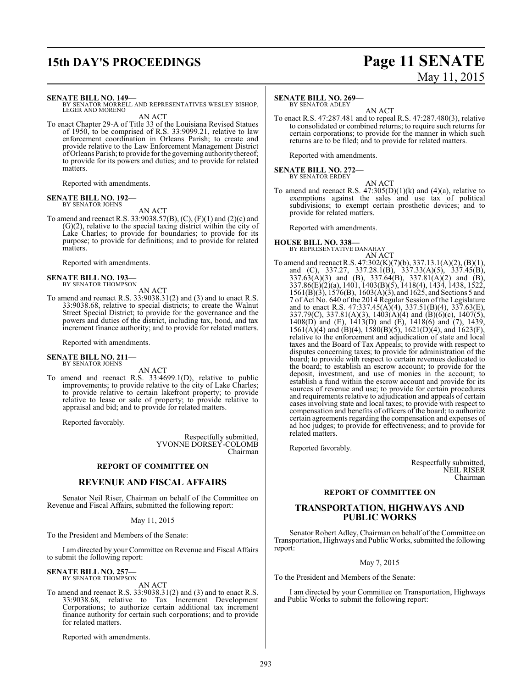## **15th DAY'S PROCEEDINGS Page 11 SENATE**

#### **SENATE BILL NO. 149—**

BY SENATOR MORRELL AND REPRESENTATIVES WESLEY BISHOP, LEGER AND MORENO

AN ACT

To enact Chapter 29-A of Title 33 of the Louisiana Revised Statues of 1950, to be comprised of R.S. 33:9099.21, relative to law enforcement coordination in Orleans Parish; to create and provide relative to the Law Enforcement Management District ofOrleans Parish; to provide for the governing authority thereof; to provide for its powers and duties; and to provide for related matters.

Reported with amendments.

### **SENATE BILL NO. 192—** BY SENATOR JOHNS

AN ACT To amend and reenact R.S. 33:9038.57(B), (C), (F)(1) and (2)(c) and (G)(2), relative to the special taxing district within the city of Lake Charles; to provide for boundaries; to provide for its purpose; to provide for definitions; and to provide for related matters.

Reported with amendments.

#### **SENATE BILL NO. 193—** BY SENATOR THOMPSON

AN ACT

To amend and reenact R.S. 33:9038.31(2) and (3) and to enact R.S. 33:9038.68, relative to special districts; to create the Walnut Street Special District; to provide for the governance and the powers and duties of the district, including tax, bond, and tax increment finance authority; and to provide for related matters.

Reported with amendments.

**SENATE BILL NO. 211—** BY SENATOR JOHNS

AN ACT

To amend and reenact R.S. 33:4699.1(D), relative to public improvements; to provide relative to the city of Lake Charles; to provide relative to certain lakefront property; to provide relative to lease or sale of property; to provide relative to appraisal and bid; and to provide for related matters.

Reported favorably.

Respectfully submitted, YVONNE DORSEY-COLOMB Chairman

#### **REPORT OF COMMITTEE ON**

### **REVENUE AND FISCAL AFFAIRS**

Senator Neil Riser, Chairman on behalf of the Committee on Revenue and Fiscal Affairs, submitted the following report:

#### May 11, 2015

To the President and Members of the Senate:

I am directed by your Committee on Revenue and Fiscal Affairs to submit the following report:

### **SENATE BILL NO. 257—** BY SENATOR THOMPSON

AN ACT

To amend and reenact R.S. 33:9038.31(2) and (3) and to enact R.S. 33:9038.68, relative to Tax Increment Development Corporations; to authorize certain additional tax increment finance authority for certain such corporations; and to provide for related matters.

Reported with amendments.

# May 11, 2015

#### **SENATE BILL NO. 269—**

BY SENATOR ADLEY

AN ACT To enact R.S. 47:287.481 and to repeal R.S. 47:287.480(3), relative to consolidated or combined returns; to require such returns for certain corporations; to provide for the manner in which such returns are to be filed; and to provide for related matters.

Reported with amendments.

#### **SENATE BILL NO. 272—** BY SENATOR ERDEY

AN ACT

To amend and reenact R.S.  $47:305(D)(1)(k)$  and  $(4)(a)$ , relative to exemptions against the sales and use tax of political subdivisions; to exempt certain prosthetic devices; and to provide for related matters.

Reported with amendments.

## **HOUSE BILL NO. 338—** BY REPRESENTATIVE DANAHAY

AN ACT To amend and reenact R.S. 47:302(K)(7)(b), 337.13.1(A)(2), (B)(1), and (C), 337.27, 337.28.1(B), 337.33(A)(5), 337.45(B), 337.63(A)(3) and (B), 337.64(B), 337.81(A)(2) and (B), 337.86(E)(2)(a), 1401, 1403(B)(5), 1418(4), 1434, 1438, 1522, 1561(B)(3), 1576(B), 1603(A)(3), and 1625, and Sections 5 and 7 of Act No. 640 of the 2014 Regular Session of the Legislature and to enact R.S. 47:337.45(A)(4), 337.51(B)(4), 337.63(E), 337.79(C), 337.81(A)(3), 1403(A)(4) and (B)(6)(c), 1407(5), 1408(D) and (E), 1413(D) and (E), 1418(6) and (7), 1439, 1561(A)(4) and (B)(4), 1580(B)(5), 1621(D)(4), and 1623(F), relative to the enforcement and adjudication of state and local taxes and the Board of Tax Appeals; to provide with respect to disputes concerning taxes; to provide for administration of the board; to provide with respect to certain revenues dedicated to the board; to establish an escrow account; to provide for the deposit, investment, and use of monies in the account; to establish a fund within the escrow account and provide for its sources of revenue and use; to provide for certain procedures and requirements relative to adjudication and appeals of certain cases involving state and local taxes; to provide with respect to compensation and benefits of officers of the board; to authorize certain agreements regarding the compensation and expenses of ad hoc judges; to provide for effectiveness; and to provide for related matters.

Reported favorably.

Respectfully submitted, NEIL RISER Chairman

#### **REPORT OF COMMITTEE ON**

#### **TRANSPORTATION, HIGHWAYS AND PUBLIC WORKS**

Senator Robert Adley, Chairman on behalf of the Committee on Transportation, Highways and Public Works, submitted the following report:

May 7, 2015

To the President and Members of the Senate:

I am directed by your Committee on Transportation, Highways and Public Works to submit the following report: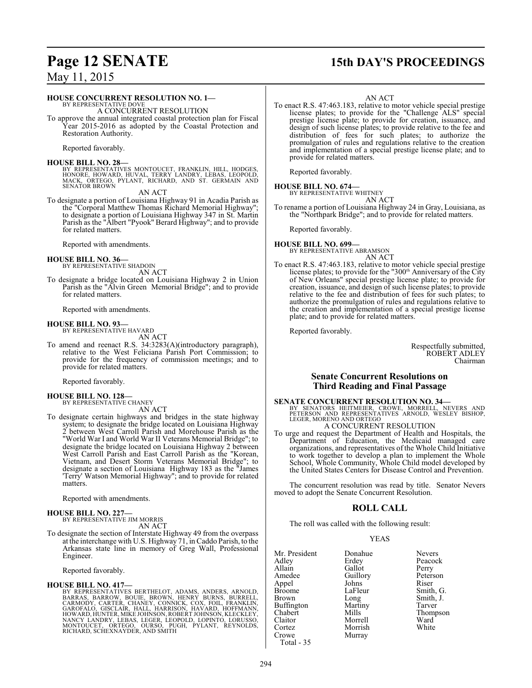### **Page 12 SENATE 15th DAY'S PROCEEDINGS**

May 11, 2015

#### **HOUSE CONCURRENT RESOLUTION NO. 1—**

BY REPRESENTATIVE DOVE A CONCURRENT RESOLUTION

To approve the annual integrated coastal protection plan for Fiscal Year 2015-2016 as adopted by the Coastal Protection and Restoration Authority.

Reported favorably.

#### **HOUSE BILL NO. 28—**

BY REPRESENTATIVES MONTOUCET, FRANKLIN, HILL, HODGES,<br>HONORE, HOWARD, HUVAL, TERRY LANDRY, LEBAS, LEOPOLD,<br>MACK, ORTEGO, PYLANT, RICHARD, AND ST. GERMAIN AND<br>SENATOR BROWN

AN ACT

To designate a portion of Louisiana Highway 91 in Acadia Parish as the "Corporal Matthew Thomas Richard Memorial Highway"; to designate a portion of Louisiana Highway 347 in St. Martin Parish as the "Albert "Pyook" Berard Highway"; and to provide for related matters.

Reported with amendments.

#### **HOUSE BILL NO. 36—**

BY REPRESENTATIVE SHADOIN

AN ACT To designate a bridge located on Louisiana Highway 2 in Union Parish as the "Alvin Green Memorial Bridge"; and to provide for related matters.

Reported with amendments.

### **HOUSE BILL NO. 93—** BY REPRESENTATIVE HAVARD

AN ACT

To amend and reenact R.S. 34:3283(A)(introductory paragraph), relative to the West Feliciana Parish Port Commission; to provide for the frequency of commission meetings; and to provide for related matters.

Reported favorably.

**HOUSE BILL NO. 128—** BY REPRESENTATIVE CHANEY

AN ACT

To designate certain highways and bridges in the state highway system; to designate the bridge located on Louisiana Highway 2 between West Carroll Parish and Morehouse Parish as the "World War I and World War II Veterans Memorial Bridge"; to designate the bridge located on Louisiana Highway 2 between West Carroll Parish and East Carroll Parish as the "Korean, Vietnam, and Desert Storm Veterans Memorial Bridge"; to designate a section of Louisiana Highway 183 as the "James 'Terry' Watson Memorial Highway"; and to provide for related matters.

Reported with amendments.

#### **HOUSE BILL NO. 227—**

BY REPRESENTATIVE JIM MORRIS AN ACT

To designate the section of Interstate Highway 49 from the overpass at the interchange with U.S. Highway 71, in Caddo Parish, to the Arkansas state line in memory of Greg Wall, Professional Engineer.

Reported favorably.

#### **HOUSE BILL NO. 417—**

BY REPRESENTATIVES BERTHELOT, ADAMS, ANDERS, ARNOLD,<br>BARRAS, BARROW, BOUIE, BROWN, HENRY BURNS, BURRELL,<br>CARMODY, CARTER, CHANEY, CONNICK, COX, FOIL, FRANKLIN,<br>GAROFALO, GISCLAIR, HALL, HARRISON, HAVARD, HOFFMANN,<br>HOWARD,H

To enact R.S. 47:463.183, relative to motor vehicle special prestige license plates; to provide for the "Challenge ALS" special prestige license plate; to provide for creation, issuance, and design of such license plates; to provide relative to the fee and distribution of fees for such plates; to authorize the promulgation of rules and regulations relative to the creation and implementation of a special prestige license plate; and to provide for related matters.

Reported favorably.

### **HOUSE BILL NO. 674—** BY REPRESENTATIVE WHITNEY

AN ACT

To rename a portion of Louisiana Highway 24 in Gray, Louisiana, as the "Northpark Bridge"; and to provide for related matters.

Reported favorably.

#### **HOUSE BILL NO. 699—** BY REPRESENTATIVE ABRAMSON

- AN ACT
- To enact R.S. 47:463.183, relative to motor vehicle special prestige license plates; to provide for the "300<sup>th</sup> Anniversary of the City of New Orleans" special prestige license plate; to provide for creation, issuance, and design of such license plates; to provide relative to the fee and distribution of fees for such plates; to authorize the promulgation of rules and regulations relative to the creation and implementation of a special prestige license plate; and to provide for related matters.

Reported favorably.

Respectfully submitted, ROBERT ADLEY Chairman

### **Senate Concurrent Resolutions on Third Reading and Final Passage**

### **SENATE CONCURRENT RESOLUTION NO. 34—**

BY SENATORS HEITMEIER, CROWE, MORRELL, NEVERS AND<br>PETERSON AND REPRESENTATIVES ARNOLD, WESLEY BISHOP,<br>LEGER,MORENO AND ORTEGO A CONCURRENT RESOLUTION

To urge and request the Department of Health and Hospitals, the Department of Education, the Medicaid managed care organizations, and representatives of the Whole Child Initiative to work together to develop a plan to implement the Whole School, Whole Community, Whole Child model developed by the United States Centers for Disease Control and Prevention.

The concurrent resolution was read by title. Senator Nevers moved to adopt the Senate Concurrent Resolution.

### **ROLL CALL**

The roll was called with the following result:

#### YEAS

| Mr. President | Donahue  | <b>Nevers</b> |
|---------------|----------|---------------|
| Adley         | Erdey    | Peacock       |
| Allain        | Gallot   | Perry         |
| Amedee        | Guillory | Peterson      |
| Appel         | Johns    | Riser         |
| Broome        | LaFleur  | Smith, G.     |
| Brown         | Long     | Smith, J.     |
| Buffington    | Martiny  | Tarver        |
| Chabert       | Mills    | Thompson      |
| Claitor       | Morrell  | Ward          |
| Cortez        | Morrish  | White         |
| Crowe         | Murray   |               |
| Total - 35    |          |               |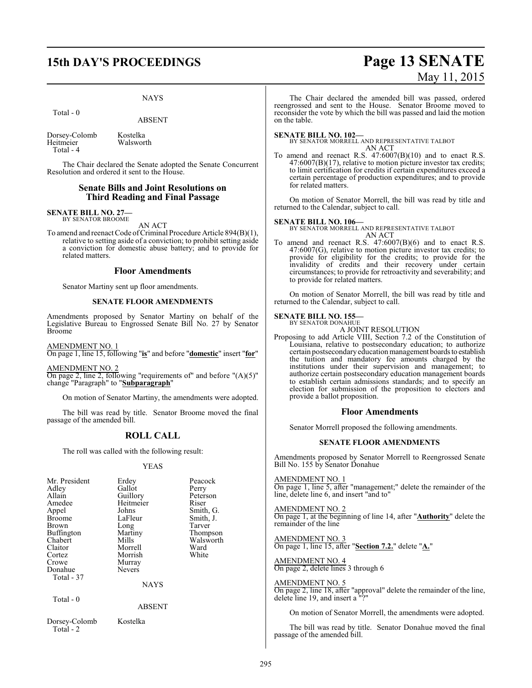#### NAYS

Total - 0

ABSENT

Dorsey-Colomb Kostelka<br>Heitmeier Walswor Walsworth Total - 4

The Chair declared the Senate adopted the Senate Concurrent Resolution and ordered it sent to the House.

#### **Senate Bills and Joint Resolutions on Third Reading and Final Passage**

#### **SENATE BILL NO. 27—** BY SENATOR BROOME

AN ACT

To amend and reenact Code of Criminal Procedure Article 894(B)(1), relative to setting aside of a conviction; to prohibit setting aside a conviction for domestic abuse battery; and to provide for related matters.

#### **Floor Amendments**

Senator Martiny sent up floor amendments.

#### **SENATE FLOOR AMENDMENTS**

Amendments proposed by Senator Martiny on behalf of the Legislative Bureau to Engrossed Senate Bill No. 27 by Senator Broome

AMENDMENT NO. 1

On page 1, line 15, following "**is**" and before "**domestic**" insert "**for**"

AMENDMENT NO. 2

On page 2, line 2, following "requirements of" and before "(A)(5)" change "Paragraph" to "**Subparagraph**"

On motion of Senator Martiny, the amendments were adopted.

The bill was read by title. Senator Broome moved the final passage of the amended bill.

#### **ROLL CALL**

The roll was called with the following result:

#### YEAS

| Mr. President<br>Adley<br>Allain<br>Amedee<br>Appel<br><b>Broome</b><br>Brown<br><b>Buffington</b><br>Chabert<br>Claitor<br>Cortez<br>Crowe<br>Donahue | Erdey<br>Gallot<br>Guillory<br>Heitmeier<br>Johns<br>LaFleur<br>Long<br>Martiny<br>Mills<br>Morrell<br>Morrish<br>Murray<br><b>Nevers</b> | Peacock<br>Perry<br>Peterson<br>Riser<br>Smith, G.<br>Smith, J.<br>Tarver<br>Thompson<br>Walsworth<br>Ward<br>White |
|--------------------------------------------------------------------------------------------------------------------------------------------------------|-------------------------------------------------------------------------------------------------------------------------------------------|---------------------------------------------------------------------------------------------------------------------|
| Total - 37                                                                                                                                             |                                                                                                                                           |                                                                                                                     |
|                                                                                                                                                        | <b>NAYS</b>                                                                                                                               |                                                                                                                     |
| Total - 0                                                                                                                                              | ABSENT                                                                                                                                    |                                                                                                                     |

Dorsey-Colomb Kostelka

#### ABSENT

Total - 2

## **15th DAY'S PROCEEDINGS Page 13 SENATE** May 11, 2015

The Chair declared the amended bill was passed, ordered reengrossed and sent to the House. Senator Broome moved to reconsider the vote by which the bill was passed and laid the motion on the table.

**SENATE BILL NO. 102—** BY SENATOR MORRELL AND REPRESENTATIVE TALBOT AN ACT

To amend and reenact R.S. 47:6007(B)(10) and to enact R.S. 47:6007(B)(17), relative to motion picture investor tax credits; to limit certification for credits if certain expenditures exceed a certain percentage of production expenditures; and to provide for related matters.

On motion of Senator Morrell, the bill was read by title and returned to the Calendar, subject to call.

#### **SENATE BILL NO. 106—**

BY SENATOR MORRELL AND REPRESENTATIVE TALBOT AN ACT

To amend and reenact R.S. 47:6007(B)(6) and to enact R.S. 47:6007(G), relative to motion picture investor tax credits; to provide for eligibility for the credits; to provide for the invalidity of credits and their recovery under certain circumstances; to provide for retroactivity and severability; and to provide for related matters.

On motion of Senator Morrell, the bill was read by title and returned to the Calendar, subject to call.

#### **SENATE BILL NO. 155—** BY SENATOR DONAHUE

A JOINT RESOLUTION

Proposing to add Article VIII, Section 7.2 of the Constitution of Louisiana, relative to postsecondary education; to authorize certain postsecondary education management boards to establish the tuition and mandatory fee amounts charged by the institutions under their supervision and management; to authorize certain postsecondary education management boards to establish certain admissions standards; and to specify an election for submission of the proposition to electors and provide a ballot proposition.

#### **Floor Amendments**

Senator Morrell proposed the following amendments.

#### **SENATE FLOOR AMENDMENTS**

Amendments proposed by Senator Morrell to Reengrossed Senate Bill No. 155 by Senator Donahue

#### AMENDMENT NO. 1

On page 1, line 5, after "management;" delete the remainder of the line, delete line 6, and insert "and to"

#### AMENDMENT NO. 2

On page 1, at the beginning of line 14, after "**Authority**" delete the remainder of the line

AMENDMENT NO. 3 On page 1, line 15, after "**Section 7.2.**" delete "**A.**"

AMENDMENT NO. 4 On page 2, delete lines 3 through 6

AMENDMENT NO. 5 On page 2, line 18, after "approval" delete the remainder of the line, delete line 19, and insert a "?"

On motion of Senator Morrell, the amendments were adopted.

The bill was read by title. Senator Donahue moved the final passage of the amended bill.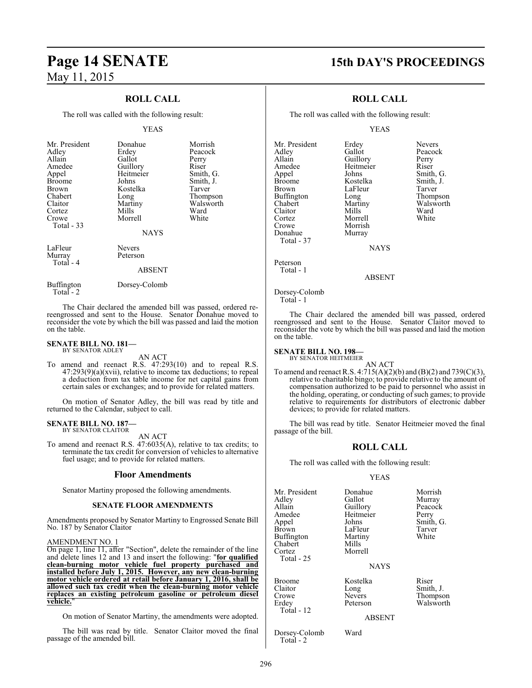### **ROLL CALL**

The roll was called with the following result:

#### YEAS

| Mr. President<br>Adley<br>Allain<br>Amedee<br>Appel<br><b>Broome</b><br><b>Brown</b><br>Chabert<br>Claitor<br>Cortez<br>Crowe<br>Total $-33$ | Donahue<br>Erdey<br>Gallot<br>Guillory<br>Heitmeier<br>Johns<br>Kostelka<br>Long<br>Martiny<br>Mills<br>Morrell<br><b>NAYS</b> | Morrish<br>Peacock<br>Perry<br>Riser<br>Smith, G.<br>Smith, J.<br>Tarver<br>Thompson<br>Walsworth<br>Ward<br>White |
|----------------------------------------------------------------------------------------------------------------------------------------------|--------------------------------------------------------------------------------------------------------------------------------|--------------------------------------------------------------------------------------------------------------------|
| LaFleur<br>Murray<br>Total - 4                                                                                                               | <b>Nevers</b><br>Peterson<br><b>ABSENT</b>                                                                                     |                                                                                                                    |

Buffington Dorsey-Colomb Total - 2

The Chair declared the amended bill was passed, ordered rereengrossed and sent to the House. Senator Donahue moved to reconsider the vote by which the bill was passed and laid the motion on the table.

#### **SENATE BILL NO. 181—** BY SENATOR ADLEY

AN ACT

To amend and reenact R.S. 47:293(10) and to repeal R.S. 47:293(9)(a)(xvii), relative to income tax deductions; to repeal a deduction from tax table income for net capital gains from certain sales or exchanges; and to provide for related matters.

On motion of Senator Adley, the bill was read by title and returned to the Calendar, subject to call.

#### **SENATE BILL NO. 187—**

BY SENATOR CLAITOR

AN ACT

To amend and reenact R.S. 47:6035(A), relative to tax credits; to terminate the tax credit for conversion of vehicles to alternative fuel usage; and to provide for related matters.

#### **Floor Amendments**

Senator Martiny proposed the following amendments.

#### **SENATE FLOOR AMENDMENTS**

Amendments proposed by Senator Martiny to Engrossed Senate Bill No. 187 by Senator Claitor

#### AMENDMENT NO. 1

On page 1, line 11, after "Section", delete the remainder of the line and delete lines 12 and 13 and insert the following: "**for qualified clean-burning motor vehicle fuel property purchased and installed before July 1, 2015. However, any new clean-burning motor vehicle ordered at retail before January 1, 2016, shall be allowed such tax credit when the clean-burning motor vehicle replaces an existing petroleum gasoline or petroleum diesel vehicle.**"

On motion of Senator Martiny, the amendments were adopted.

The bill was read by title. Senator Claitor moved the final passage of the amended bill.

### **Page 14 SENATE 15th DAY'S PROCEEDINGS**

### **ROLL CALL**

The roll was called with the following result:

YEAS

| Mr. President | Erdey     | Nevers    |
|---------------|-----------|-----------|
| Adley         | Gallot    | Peacock   |
| Allain        | Guillory  | Perry     |
| Amedee        | Heitmeier | Riser     |
| Appel         | Johns     | Smith, G. |
| <b>Broome</b> | Kostelka  | Smith, J. |
| <b>Brown</b>  | LaFleur   | Tarver    |
| Buffington    | Long      | Thompson  |
| Chabert       | Martiny   | Walsworth |
| Claitor       | Mills     | Ward      |
| Cortez        | Morrell   | White     |
| Crowe         | Morrish   |           |
| Donahue       | Murray    |           |
| Total - 37    |           |           |
|               |           |           |

Peterson Total - 1

ABSENT

**NAYS** 

Dorsey-Colomb Total - 1

The Chair declared the amended bill was passed, ordered reengrossed and sent to the House. Senator Claitor moved to reconsider the vote by which the bill was passed and laid the motion on the table.

### **SENATE BILL NO. 198—** BY SENATOR HEITMEIER

AN ACT To amend and reenact R.S. 4:715(A)(2)(b) and (B)(2) and 739(C)(3), relative to charitable bingo; to provide relative to the amount of compensation authorized to be paid to personnel who assist in the holding, operating, or conducting of such games; to provide relative to requirements for distributors of electronic dabber devices; to provide for related matters.

The bill was read by title. Senator Heitmeier moved the final passage of the bill.

#### **ROLL CALL**

The roll was called with the following result:

#### YEAS

| Mr. President<br>Adley<br>Allain<br>Amedee<br>Appel<br><b>Brown</b><br>Buffington<br>Chabert<br>Cortez<br>Total - 25 | Donahue<br>Gallot<br>Guillory<br>Heitmeier<br>Johns<br>LaFleur<br>Martiny<br>Mills<br>Morrell<br><b>NAYS</b> | Morrish<br>Murray<br>Peacock<br>Perry<br>Smith, G.<br>Tarver<br>White |
|----------------------------------------------------------------------------------------------------------------------|--------------------------------------------------------------------------------------------------------------|-----------------------------------------------------------------------|
| <b>Broome</b>                                                                                                        | Kostelka                                                                                                     | Riser                                                                 |
| Claitor                                                                                                              | Long                                                                                                         | Smith, J.                                                             |
| Crowe                                                                                                                | Nevers                                                                                                       | Thompson                                                              |
| Erdev                                                                                                                | Peterson                                                                                                     | Walsworth                                                             |

ABSENT

Dorsey-Colomb Ward Total - 2

Total - 12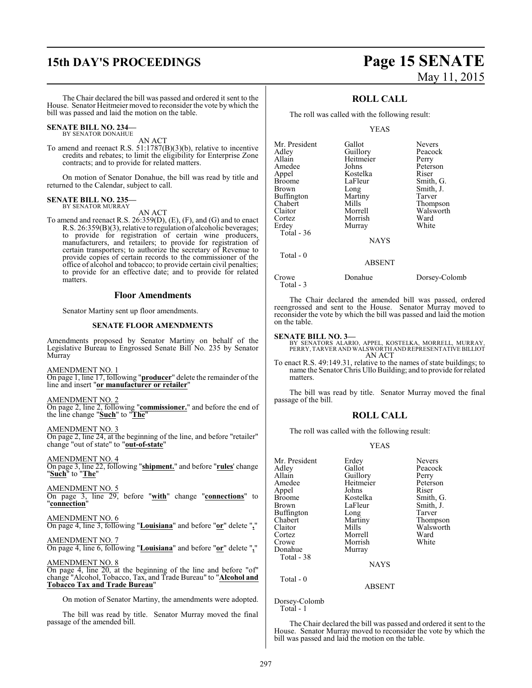## **15th DAY'S PROCEEDINGS Page 15 SENATE**

# May 11, 2015

The Chair declared the bill was passed and ordered it sent to the House. Senator Heitmeier moved to reconsider the vote by which the bill was passed and laid the motion on the table.

#### **SENATE BILL NO. 234—** BY SENATOR DONAHUE

AN ACT

To amend and reenact R.S. 51:1787(B)(3)(b), relative to incentive credits and rebates; to limit the eligibility for Enterprise Zone contracts; and to provide for related matters.

On motion of Senator Donahue, the bill was read by title and returned to the Calendar, subject to call.

#### **SENATE BILL NO. 235—** BY SENATOR MURRAY

AN ACT

To amend and reenact R.S. 26:359(D), (E), (F), and (G) and to enact R.S. 26:359(B)(3), relative to regulation of alcoholic beverages; to provide for registration of certain wine producers, manufacturers, and retailers; to provide for registration of certain transporters; to authorize the secretary of Revenue to provide copies of certain records to the commissioner of the office of alcohol and tobacco; to provide certain civil penalties; to provide for an effective date; and to provide for related matters.

#### **Floor Amendments**

Senator Martiny sent up floor amendments.

#### **SENATE FLOOR AMENDMENTS**

Amendments proposed by Senator Martiny on behalf of the Legislative Bureau to Engrossed Senate Bill No. 235 by Senator Murray

AMENDMENT NO. 1

On page 1, line 17, following "**producer**" delete the remainder of the line and insert "**or manufacturer or retailer**"

AMENDMENT NO. 2

On page 2, line 2, following "**commissioner.**" and before the end of the line change "**Such**" to "**The**"

AMENDMENT NO. 3

On page 2, line 24, at the beginning of the line, and before "retailer" change "out of state" to "**out-of-state**"

#### AMENDMENT NO. 4

On page 3, line 22, following "**shipment.**" and before "**rules**' change "**Such**" to "**The**"

AMENDMENT NO. 5

On page 3, line 29, before "**with**" change "**connections**" to "**connection**"

### AMENDMENT NO. 6

On page 4, line 3, following "**Louisiana**" and before "**or**" delete "**,**"

#### AMENDMENT NO. 7

On page 4, line 6, following "**Louisiana**" and before "**or**" delete "**,**"

#### AMENDMENT NO. 8

On page 4, line 20, at the beginning of the line and before "of" change "Alcohol, Tobacco, Tax, and Trade Bureau" to "**Alcohol and Tobacco Tax and Trade Bureau**"

On motion of Senator Martiny, the amendments were adopted.

The bill was read by title. Senator Murray moved the final passage of the amended bill.

### **ROLL CALL**

The roll was called with the following result:

#### YEAS

| Mr. President<br>Adley<br>Allain<br>Amedee<br>Appel | Gallot<br>Guillory<br>Heitmeier<br>Johns<br>Kostelka | <b>Nevers</b><br>Peacock<br>Perry<br>Peterson<br>Riser |
|-----------------------------------------------------|------------------------------------------------------|--------------------------------------------------------|
| <b>Broome</b>                                       | LaFleur                                              | Smith, G.                                              |
| Brown                                               | Long                                                 | Smith, J.                                              |
| <b>Buffington</b>                                   | Martiny                                              | Tarver                                                 |
| Chabert                                             | Mills                                                | Thompson                                               |
| Claitor                                             | Morrell                                              | Walsworth                                              |
| Cortez                                              | Morrish                                              | Ward                                                   |
| Erdey                                               | Murray                                               | White                                                  |
| Total $-36$                                         |                                                      |                                                        |
|                                                     | <b>NAYS</b>                                          |                                                        |

#### ABSENT

Total - 3

Total - 0

Crowe Donahue Dorsey-Colomb

The Chair declared the amended bill was passed, ordered reengrossed and sent to the House. Senator Murray moved to reconsider the vote by which the bill was passed and laid the motion on the table.

#### **SENATE BILL NO. 3—**

BY SENATORS ALARIO, APPEL, KOSTELKA, MORRELL, MURRAY, PERRY, TARVER AND WALSWORTH AND REPRESENTATIVE BILLIOT AN ACT

To enact R.S. 49:149.31, relative to the names of state buildings; to name the Senator Chris Ullo Building; and to provide for related matters.

The bill was read by title. Senator Murray moved the final passage of the bill.

### **ROLL CALL**

The roll was called with the following result:

#### YEAS

| Mr. President<br>Adley<br>Allain<br>Amedee<br>Appel<br><b>Broome</b><br><b>Brown</b><br><b>Buffington</b><br>Chabert<br>Claitor<br>Cortez<br>Crowe<br>Donahue | Erdey<br>Gallot<br>Guillory<br>Heitmeier<br>Johns<br>Kostelka<br>LaFleur<br>Long<br>Martiny<br>Mills<br>Morrell<br>Morrish<br>Murray | <b>Nevers</b><br>Peacock<br>Perry<br>Peterson<br>Riser<br>Smith, G.<br>Smith, J.<br>Tarver<br>Thompson<br>Walsworth<br>Ward<br>White |
|---------------------------------------------------------------------------------------------------------------------------------------------------------------|--------------------------------------------------------------------------------------------------------------------------------------|--------------------------------------------------------------------------------------------------------------------------------------|
| Total - 38                                                                                                                                                    | <b>NAYS</b>                                                                                                                          |                                                                                                                                      |
| Total - 0                                                                                                                                                     | ABSENT                                                                                                                               |                                                                                                                                      |

Dorsey-Colomb Total - 1

The Chair declared the bill was passed and ordered it sent to the House. Senator Murray moved to reconsider the vote by which the bill was passed and laid the motion on the table.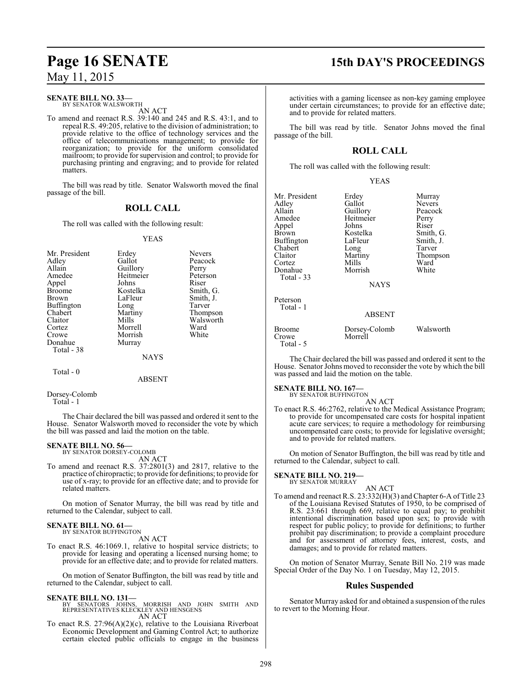#### **SENATE BILL NO. 33—**

BY SENATOR WALSWORTH AN ACT

To amend and reenact R.S. 39:140 and 245 and R.S. 43:1, and to repeal R.S. 49:205, relative to the division of administration; to provide relative to the office of technology services and the office of telecommunications management; to provide for reorganization; to provide for the uniform consolidated mailroom; to provide for supervision and control; to provide for purchasing printing and engraving; and to provide for related matters.

The bill was read by title. Senator Walsworth moved the final passage of the bill.

### **ROLL CALL**

The roll was called with the following result:

#### YEAS

| Mr. President<br>Adley<br>Allain<br>Amedee<br>Appel<br><b>Broome</b><br><b>Brown</b><br><b>Buffington</b><br>Chabert<br>Claitor<br>Cortez<br>Crowe<br>Donahue<br>Total - 38 | Erdey<br>Gallot<br>Guillory<br>Heitmeier<br>Johns<br>Kostelka<br>LaFleur<br>Long<br>Martiny<br>Mills<br>Morrell<br>Morrish<br>Murray<br><b>NAYS</b> | <b>Nevers</b><br>Peacock<br>Perry<br>Peterson<br>Riser<br>Smith, G.<br>Smith, J.<br>Tarver<br>Thompson<br>Walsworth<br>Ward<br>White |
|-----------------------------------------------------------------------------------------------------------------------------------------------------------------------------|-----------------------------------------------------------------------------------------------------------------------------------------------------|--------------------------------------------------------------------------------------------------------------------------------------|
|                                                                                                                                                                             |                                                                                                                                                     |                                                                                                                                      |

#### Total - 0

ABSENT

Dorsey-Colomb

Total - 1

The Chair declared the bill was passed and ordered it sent to the House. Senator Walsworth moved to reconsider the vote by which the bill was passed and laid the motion on the table.

#### **SENATE BILL NO. 56—**

BY SENATOR DORSEY-COLOMB AN ACT

To amend and reenact R.S. 37:2801(3) and 2817, relative to the practice of chiropractic; to provide for definitions; to provide for use of x-ray; to provide for an effective date; and to provide for related matters.

On motion of Senator Murray, the bill was read by title and returned to the Calendar, subject to call.

### **SENATE BILL NO. 61—**<br>BY SENATOR BUFFINGTON

AN ACT

To enact R.S. 46:1069.1, relative to hospital service districts; to provide for leasing and operating a licensed nursing home; to provide for an effective date; and to provide for related matters.

On motion of Senator Buffington, the bill was read by title and returned to the Calendar, subject to call.

#### **SENATE BILL NO. 131—**

- BY SENATORS JOHNS, MORRISH AND JOHN SMITH AND REPRESENTATIVES KLECKLEY AND HENSGENS AN ACT
- To enact R.S. 27:96(A)(2)(c), relative to the Louisiana Riverboat Economic Development and Gaming Control Act; to authorize certain elected public officials to engage in the business

## **Page 16 SENATE 15th DAY'S PROCEEDINGS**

activities with a gaming licensee as non-key gaming employee under certain circumstances; to provide for an effective date; and to provide for related matters.

The bill was read by title. Senator Johns moved the final passage of the bill.

### **ROLL CALL**

The roll was called with the following result:

#### YEAS

| Mr. President          | Erdey                    | Murray    |
|------------------------|--------------------------|-----------|
| Adley                  | Gallot                   | Nevers    |
| Allain                 | Guillory                 | Peacock   |
| Amedee                 | Heitmeier                | Perry     |
| Appel                  | Johns                    | Riser     |
| Brown                  | Kostelka                 | Smith, G. |
| Buffington             | LaFleur                  | Smith, J. |
| Chabert                | Long                     | Tarver    |
| Claitor                | Martiny                  | Thompson  |
| Cortez                 | Mills                    | Ward      |
| Donahue                | Morrish                  | White     |
| Total - 33             |                          |           |
|                        | <b>NAYS</b>              |           |
| Peterson               |                          |           |
| Total - 1              |                          |           |
|                        | <b>ABSENT</b>            |           |
| <b>Broome</b><br>Crowe | Dorsey-Colomb<br>Morrell | Walsworth |
| Total - 5              |                          |           |

The Chair declared the bill was passed and ordered it sent to the House. Senator Johns moved to reconsider the vote by which the bill was passed and laid the motion on the table.

**SENATE BILL NO. 167—**<br>BY SENATOR BUFFINGTON

AN ACT

To enact R.S. 46:2762, relative to the Medical Assistance Program; to provide for uncompensated care costs for hospital inpatient acute care services; to require a methodology for reimbursing uncompensated care costs; to provide for legislative oversight; and to provide for related matters.

On motion of Senator Buffington, the bill was read by title and returned to the Calendar, subject to call.

**SENATE BILL NO. 219—**

#### BY SENATOR MURRAY AN ACT

To amend and reenact R.S. 23:332(H)(3) and Chapter 6-A of Title 23 of the Louisiana Revised Statutes of 1950, to be comprised of R.S. 23:661 through 669, relative to equal pay; to prohibit intentional discrimination based upon sex; to provide with respect for public policy; to provide for definitions; to further prohibit pay discrimination; to provide a complaint procedure and for assessment of attorney fees, interest, costs, and damages; and to provide for related matters.

On motion of Senator Murray, Senate Bill No. 219 was made Special Order of the Day No. 1 on Tuesday, May 12, 2015.

#### **Rules Suspended**

Senator Murray asked for and obtained a suspension of the rules to revert to the Morning Hour.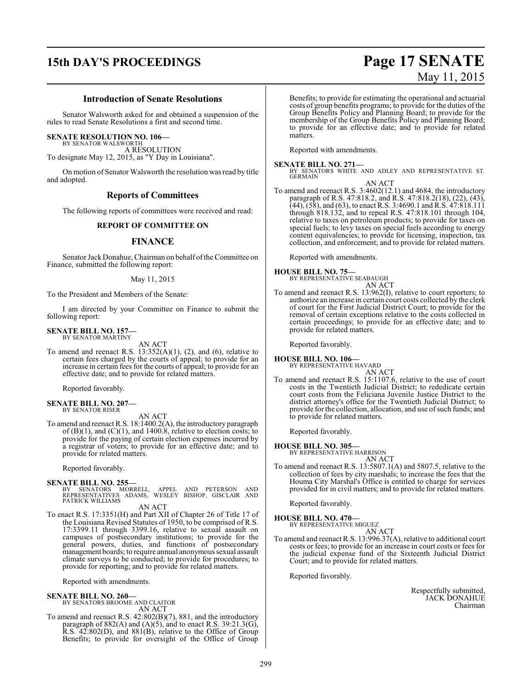## **15th DAY'S PROCEEDINGS Page 17 SENATE**

#### **Introduction of Senate Resolutions**

Senator Walsworth asked for and obtained a suspension of the rules to read Senate Resolutions a first and second time.

#### **SENATE RESOLUTION NO. 106—**

BY SENATOR WALSWORTH A RESOLUTION To designate May 12, 2015, as "Y Day in Louisiana".

On motion of Senator Walsworth the resolution was read by title and adopted.

#### **Reports of Committees**

The following reports of committees were received and read:

#### **REPORT OF COMMITTEE ON**

#### **FINANCE**

Senator JackDonahue, Chairman on behalf ofthe Committee on Finance, submitted the following report:

#### May 11, 2015

To the President and Members of the Senate:

I am directed by your Committee on Finance to submit the following report:

### **SENATE BILL NO. 157—** BY SENATOR MARTINY

AN ACT

To amend and reenact R.S.  $13:352(A)(1)$ ,  $(2)$ , and  $(6)$ , relative to certain fees charged by the courts of appeal; to provide for an increase in certain fees for the courts of appeal; to provide for an effective date; and to provide for related matters.

Reported favorably.

#### **SENATE BILL NO. 207—** BY SENATOR RISER

AN ACT

To amend and reenact R.S. 18:1400.2(A), the introductory paragraph of  $(B)(1)$ , and  $(C)(1)$ , and 1400.8, relative to election costs; to provide for the paying of certain election expenses incurred by a registrar of voters; to provide for an effective date; and to provide for related matters.

Reported favorably.

#### **SENATE BILL NO. 255—**

BY SENATORS MORRELL, APPEL AND PETERSON AND REPRESENTATIVES ADAMS, WESLEY BISHOP, GISCLAIR AND PATRICK WILLIAMS

AN ACT

To enact R.S. 17:3351(H) and Part XII of Chapter 26 of Title 17 of the Louisiana Revised Statutes of 1950, to be comprised of R.S. 17:3399.11 through 3399.16, relative to sexual assault on campuses of postsecondary institutions; to provide for the general powers, duties, and functions of postsecondary management boards; to require annual anonymous sexual assault climate surveys to be conducted; to provide for procedures; to provide for reporting; and to provide for related matters.

Reported with amendments.

#### **SENATE BILL NO. 260—**

BY SENATORS BROOME AND CLAITOR AN ACT

To amend and reenact R.S. 42:802(B)(7), 881, and the introductory paragraph of  $882(A)$  and  $(A)(5)$ , and to enact R.S. 39:21.3(G), R.S. 42:802(D), and 881(B), relative to the Office of Group Benefits; to provide for oversight of the Office of Group Benefits; to provide for estimating the operational and actuarial costs of group benefits programs; to provide for the duties of the Group Benefits Policy and Planning Board; to provide for the membership of the Group Benefits Policy and Planning Board; to provide for an effective date; and to provide for related matters.

Reported with amendments.

#### **SENATE BILL NO. 271—**

BY SENATORS WHITE AND ADLEY AND REPRESENTATIVE ST. GERMAIN AN ACT

To amend and reenact R.S. 3:4602(12.1) and 4684, the introductory paragraph of R.S. 47:818.2, and R.S. 47:818.2(18), (22), (43),  $(44)$ ,  $(58)$ , and  $(63)$ , to enact R.S. 3:4690.1 and R.S. 47:818.111 through 818.132, and to repeal R.S. 47:818.101 through 104, relative to taxes on petroleum products; to provide for taxes on special fuels; to levy taxes on special fuels according to energy content equivalencies; to provide for licensing, inspection, tax collection, and enforcement; and to provide for related matters.

Reported with amendments.

#### **HOUSE BILL NO. 75—**

BY REPRESENTATIVE SEABAUGH

AN ACT To amend and reenact R.S. 13:962(I), relative to court reporters; to authorize an increase in certain court costs collected by the clerk of court for the First Judicial District Court; to provide for the removal of certain exceptions relative to the costs collected in certain proceedings; to provide for an effective date; and to provide for related matters.

Reported favorably.

**HOUSE BILL NO. 106—** BY REPRESENTATIVE HAVARD

AN ACT

To amend and reenact R.S. 15:1107.6, relative to the use of court costs in the Twentieth Judicial District; to rededicate certain court costs from the Feliciana Juvenile Justice District to the district attorney's office for the Twentieth Judicial District; to provide for the collection, allocation, and use of such funds; and to provide for related matters.

Reported favorably.

**HOUSE BILL NO. 305—** BY REPRESENTATIVE HARRISON

- AN ACT
- To amend and reenact R.S. 13:5807.1(A) and 5807.5, relative to the collection of fees by city marshals; to increase the fees that the Houma City Marshal's Office is entitled to charge for services provided for in civil matters; and to provide for related matters.

Reported favorably.

#### **HOUSE BILL NO. 470—**

BY REPRESENTATIVE MIGUEZ AN ACT

To amend and reenact R.S. 13:996.37(A), relative to additional court costs or fees; to provide for an increase in court costs or fees for the judicial expense fund of the Sixteenth Judicial District Court; and to provide for related matters.

Reported favorably.

Respectfully submitted, JACK DONAHUE Chairman

# May 11, 2015